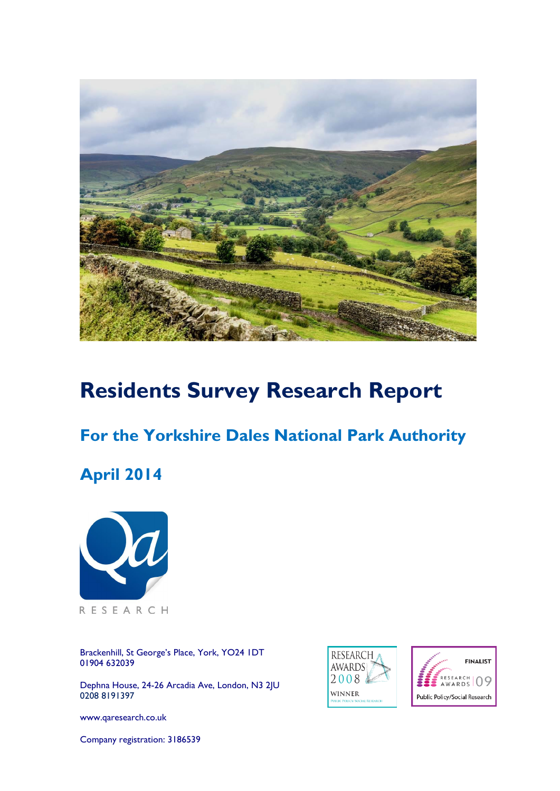

# **Residents Survey Research Report**

# **For the Yorkshire Dales National Park Authority**

# **April 2014**



Brackenhill, St George's Place, York, YO24 1DT 01904 632039

Dephna House, 24-26 Arcadia Ave, London, N3 2JU 0208 8191397

[www.qaresearch.co.uk](http://www.qaresearch.co.uk/)

Company registration: 3186539



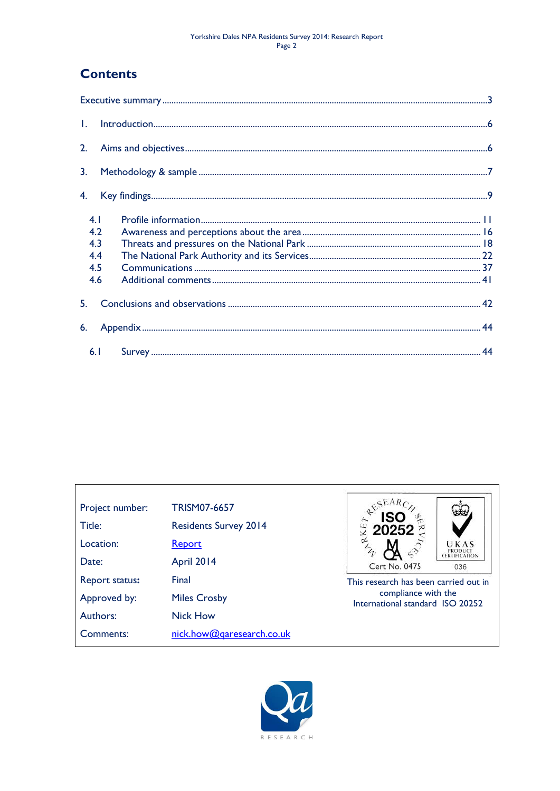#### Yorkshire Dales NPA Residents Survey 2014: Research Report Page 2

## **Contents**

| $\mathbf{L}$                           |  |  |
|----------------------------------------|--|--|
| 2.                                     |  |  |
| 3.                                     |  |  |
| 4.                                     |  |  |
| 4.1<br>4.2<br>4.3<br>4.4<br>4.5<br>4.6 |  |  |
| 5.                                     |  |  |
| 6.                                     |  |  |
|                                        |  |  |



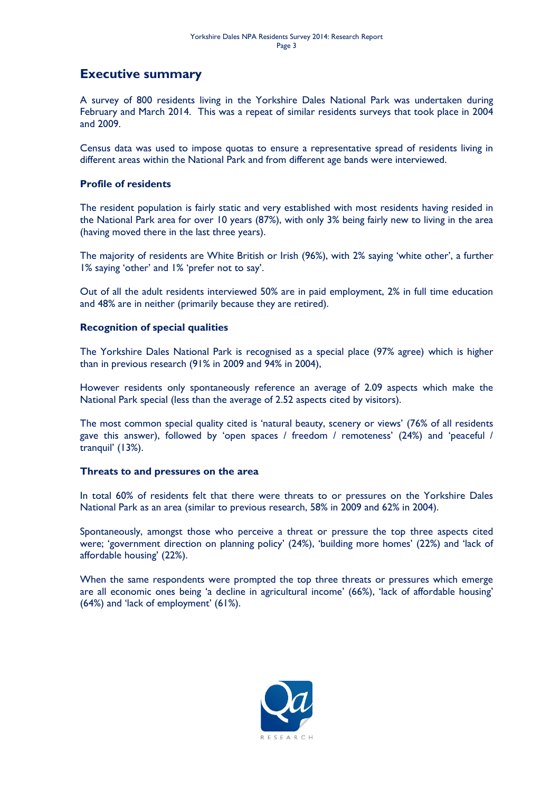## <span id="page-2-0"></span>**Executive summary**

A survey of 800 residents living in the Yorkshire Dales National Park was undertaken during February and March 2014. This was a repeat of similar residents surveys that took place in 2004 and 2009.

Census data was used to impose quotas to ensure a representative spread of residents living in different areas within the National Park and from different age bands were interviewed.

#### **Profile of residents**

The resident population is fairly static and very established with most residents having resided in the National Park area for over 10 years (87%), with only 3% being fairly new to living in the area (having moved there in the last three years).

The majority of residents are White British or Irish (96%), with 2% saying 'white other', a further 1% saying 'other' and 1% 'prefer not to say'.

Out of all the adult residents interviewed 50% are in paid employment, 2% in full time education and 48% are in neither (primarily because they are retired).

#### **Recognition of special qualities**

The Yorkshire Dales National Park is recognised as a special place (97% agree) which is higher than in previous research (91% in 2009 and 94% in 2004),

However residents only spontaneously reference an average of 2.09 aspects which make the National Park special (less than the average of 2.52 aspects cited by visitors).

The most common special quality cited is 'natural beauty, scenery or views' (76% of all residents gave this answer), followed by 'open spaces / freedom / remoteness' (24%) and 'peaceful / tranquil' (13%).

#### **Threats to and pressures on the area**

In total 60% of residents felt that there were threats to or pressures on the Yorkshire Dales National Park as an area (similar to previous research, 58% in 2009 and 62% in 2004).

Spontaneously, amongst those who perceive a threat or pressure the top three aspects cited were; 'government direction on planning policy' (24%), 'building more homes' (22%) and 'lack of affordable housing' (22%).

When the same respondents were prompted the top three threats or pressures which emerge are all economic ones being 'a decline in agricultural income' (66%), 'lack of affordable housing' (64%) and 'lack of employment' (61%).

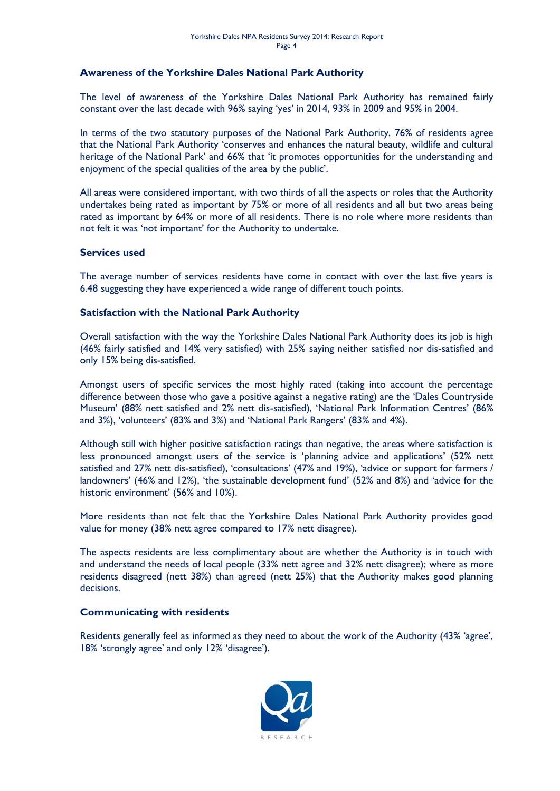#### **Awareness of the Yorkshire Dales National Park Authority**

The level of awareness of the Yorkshire Dales National Park Authority has remained fairly constant over the last decade with 96% saying 'yes' in 2014, 93% in 2009 and 95% in 2004.

In terms of the two statutory purposes of the National Park Authority, 76% of residents agree that the National Park Authority 'conserves and enhances the natural beauty, wildlife and cultural heritage of the National Park' and 66% that 'it promotes opportunities for the understanding and enjoyment of the special qualities of the area by the public'.

All areas were considered important, with two thirds of all the aspects or roles that the Authority undertakes being rated as important by 75% or more of all residents and all but two areas being rated as important by 64% or more of all residents. There is no role where more residents than not felt it was 'not important' for the Authority to undertake.

#### **Services used**

The average number of services residents have come in contact with over the last five years is 6.48 suggesting they have experienced a wide range of different touch points.

#### **Satisfaction with the National Park Authority**

Overall satisfaction with the way the Yorkshire Dales National Park Authority does its job is high (46% fairly satisfied and 14% very satisfied) with 25% saying neither satisfied nor dis-satisfied and only 15% being dis-satisfied.

Amongst users of specific services the most highly rated (taking into account the percentage difference between those who gave a positive against a negative rating) are the 'Dales Countryside Museum' (88% nett satisfied and 2% nett dis-satisfied), 'National Park Information Centres' (86% and 3%), 'volunteers' (83% and 3%) and 'National Park Rangers' (83% and 4%).

Although still with higher positive satisfaction ratings than negative, the areas where satisfaction is less pronounced amongst users of the service is 'planning advice and applications' (52% nett satisfied and 27% nett dis-satisfied), 'consultations' (47% and 19%), 'advice or support for farmers / landowners' (46% and 12%), 'the sustainable development fund' (52% and 8%) and 'advice for the historic environment' (56% and 10%).

More residents than not felt that the Yorkshire Dales National Park Authority provides good value for money (38% nett agree compared to 17% nett disagree).

The aspects residents are less complimentary about are whether the Authority is in touch with and understand the needs of local people (33% nett agree and 32% nett disagree); where as more residents disagreed (nett 38%) than agreed (nett 25%) that the Authority makes good planning decisions.

#### **Communicating with residents**

Residents generally feel as informed as they need to about the work of the Authority (43% 'agree', 18% 'strongly agree' and only 12% 'disagree').

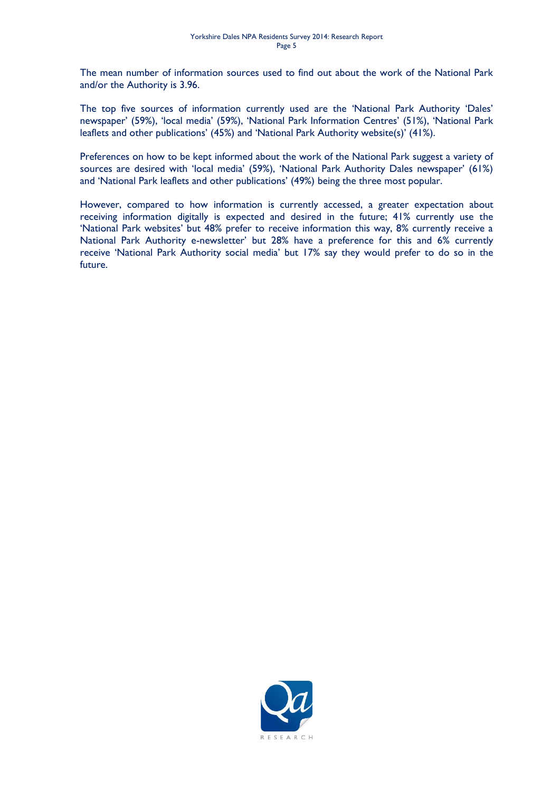The mean number of information sources used to find out about the work of the National Park and/or the Authority is 3.96.

The top five sources of information currently used are the 'National Park Authority 'Dales' newspaper' (59%), 'local media' (59%), 'National Park Information Centres' (51%), 'National Park leaflets and other publications' (45%) and 'National Park Authority website(s)' (41%).

Preferences on how to be kept informed about the work of the National Park suggest a variety of sources are desired with 'local media' (59%), 'National Park Authority Dales newspaper' (61%) and 'National Park leaflets and other publications' (49%) being the three most popular.

However, compared to how information is currently accessed, a greater expectation about receiving information digitally is expected and desired in the future; 41% currently use the 'National Park websites' but 48% prefer to receive information this way, 8% currently receive a National Park Authority e-newsletter' but 28% have a preference for this and 6% currently receive 'National Park Authority social media' but 17% say they would prefer to do so in the future.

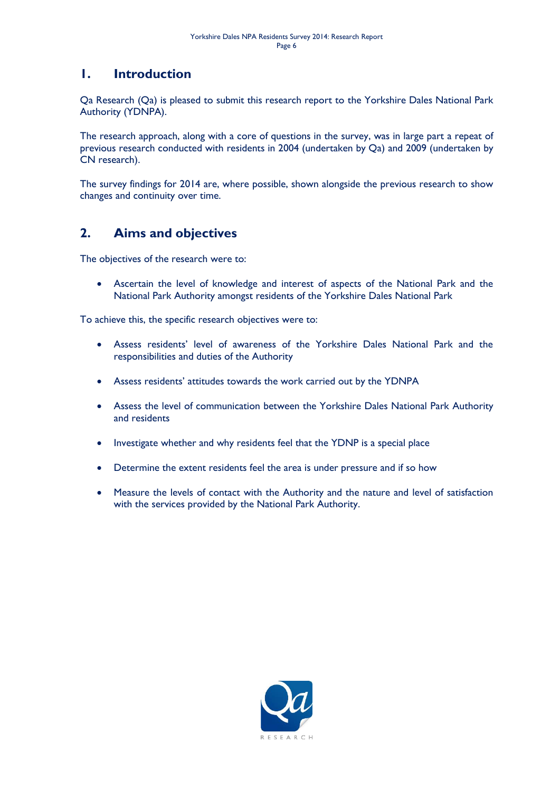## <span id="page-5-0"></span>**1. Introduction**

Qa Research (Qa) is pleased to submit this research report to the Yorkshire Dales National Park Authority (YDNPA).

The research approach, along with a core of questions in the survey, was in large part a repeat of previous research conducted with residents in 2004 (undertaken by Qa) and 2009 (undertaken by CN research).

The survey findings for 2014 are, where possible, shown alongside the previous research to show changes and continuity over time.

## <span id="page-5-1"></span>**2. Aims and objectives**

The objectives of the research were to:

 Ascertain the level of knowledge and interest of aspects of the National Park and the National Park Authority amongst residents of the Yorkshire Dales National Park

To achieve this, the specific research objectives were to:

- Assess residents' level of awareness of the Yorkshire Dales National Park and the responsibilities and duties of the Authority
- Assess residents' attitudes towards the work carried out by the YDNPA
- Assess the level of communication between the Yorkshire Dales National Park Authority and residents
- Investigate whether and why residents feel that the YDNP is a special place
- Determine the extent residents feel the area is under pressure and if so how
- Measure the levels of contact with the Authority and the nature and level of satisfaction with the services provided by the National Park Authority.

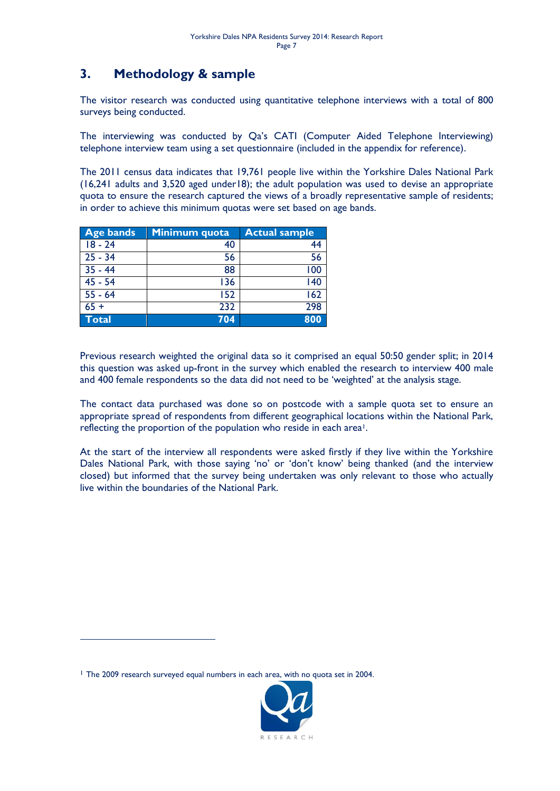## <span id="page-6-0"></span>**3. Methodology & sample**

The visitor research was conducted using quantitative telephone interviews with a total of 800 surveys being conducted.

The interviewing was conducted by Qa's CATI (Computer Aided Telephone Interviewing) telephone interview team using a set questionnaire (included in the appendix for reference).

The 2011 census data indicates that 19,761 people live within the Yorkshire Dales National Park (16,241 adults and 3,520 aged under18); the adult population was used to devise an appropriate quota to ensure the research captured the views of a broadly representative sample of residents; in order to achieve this minimum quotas were set based on age bands.

| <b>Age bands</b> | Minimum quota | <b>Actual sample</b> |
|------------------|---------------|----------------------|
| $18 - 24$        | 40            |                      |
| $25 - 34$        | 56            | 56                   |
| $35 - 44$        | 88            | 100                  |
| $45 - 54$        | 136           | 140                  |
| $55 - 64$        | 152           | 162                  |
| $65 +$           | 232           | 298                  |
| <b>Total</b>     | 704           | 800                  |

Previous research weighted the original data so it comprised an equal 50:50 gender split; in 2014 this question was asked up-front in the survey which enabled the research to interview 400 male and 400 female respondents so the data did not need to be 'weighted' at the analysis stage.

The contact data purchased was done so on postcode with a sample quota set to ensure an appropriate spread of respondents from different geographical locations within the National Park, reflecting the proportion of the population who reside in each area<sup>1</sup>.

At the start of the interview all respondents were asked firstly if they live within the Yorkshire Dales National Park, with those saying 'no' or 'don't know' being thanked (and the interview closed) but informed that the survey being undertaken was only relevant to those who actually live within the boundaries of the National Park.

<sup>1</sup> The 2009 research surveyed equal numbers in each area, with no quota set in 2004.

-

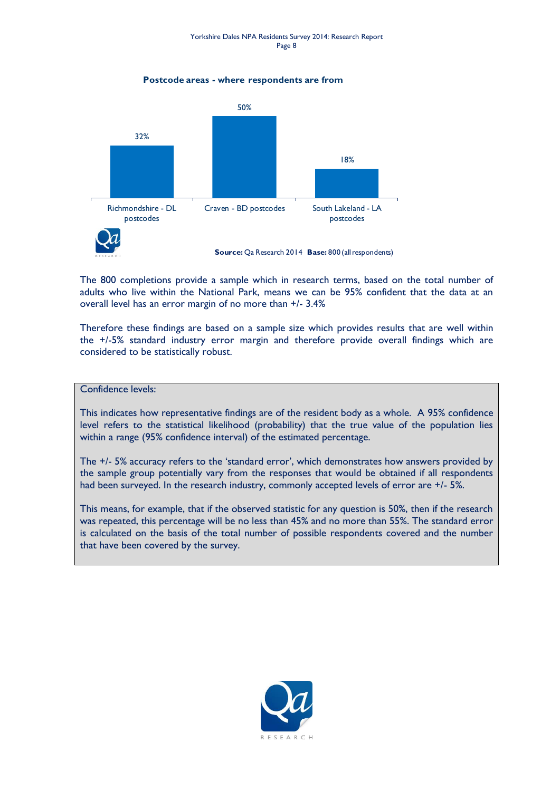**Postcode areas - where respondents are from**



The 800 completions provide a sample which in research terms, based on the total number of adults who live within the National Park, means we can be 95% confident that the data at an overall level has an error margin of no more than +/- 3.4%

Therefore these findings are based on a sample size which provides results that are well within the +/-5% standard industry error margin and therefore provide overall findings which are considered to be statistically robust.

#### Confidence levels:

This indicates how representative findings are of the resident body as a whole. A 95% confidence level refers to the statistical likelihood (probability) that the true value of the population lies within a range (95% confidence interval) of the estimated percentage.

The +/- 5% accuracy refers to the 'standard error', which demonstrates how answers provided by the sample group potentially vary from the responses that would be obtained if all respondents had been surveyed. In the research industry, commonly accepted levels of error are +/- 5%.

This means, for example, that if the observed statistic for any question is 50%, then if the research was repeated, this percentage will be no less than 45% and no more than 55%. The standard error is calculated on the basis of the total number of possible respondents covered and the number that have been covered by the survey.

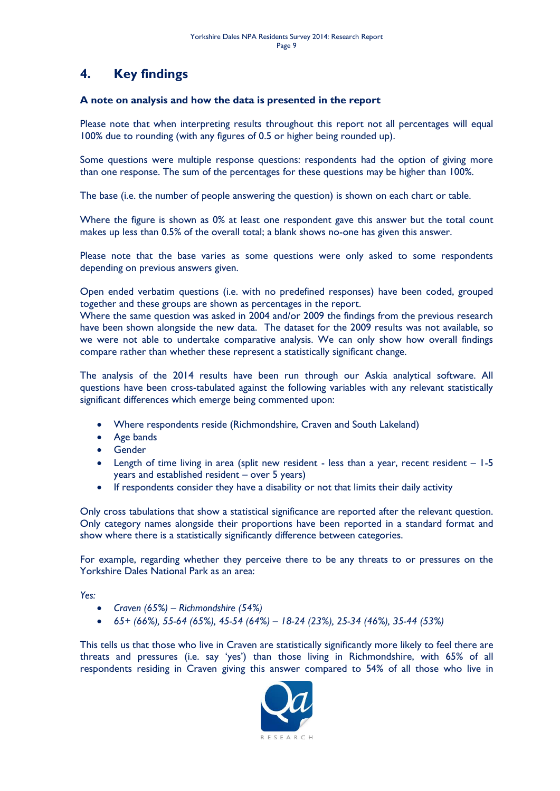## <span id="page-8-0"></span>**4. Key findings**

#### **A note on analysis and how the data is presented in the report**

Please note that when interpreting results throughout this report not all percentages will equal 100% due to rounding (with any figures of 0.5 or higher being rounded up).

Some questions were multiple response questions: respondents had the option of giving more than one response. The sum of the percentages for these questions may be higher than 100%.

The base (i.e. the number of people answering the question) is shown on each chart or table.

Where the figure is shown as 0% at least one respondent gave this answer but the total count makes up less than 0.5% of the overall total; a blank shows no-one has given this answer.

Please note that the base varies as some questions were only asked to some respondents depending on previous answers given.

Open ended verbatim questions (i.e. with no predefined responses) have been coded, grouped together and these groups are shown as percentages in the report.

Where the same question was asked in 2004 and/or 2009 the findings from the previous research have been shown alongside the new data. The dataset for the 2009 results was not available, so we were not able to undertake comparative analysis. We can only show how overall findings compare rather than whether these represent a statistically significant change.

The analysis of the 2014 results have been run through our Askia analytical software. All questions have been cross-tabulated against the following variables with any relevant statistically significant differences which emerge being commented upon:

- Where respondents reside (Richmondshire, Craven and South Lakeland)
- Age bands
- **•** Gender
- Length of time living in area (split new resident less than a year, recent resident 1-5 years and established resident – over 5 years)
- If respondents consider they have a disability or not that limits their daily activity

Only cross tabulations that show a statistical significance are reported after the relevant question. Only category names alongside their proportions have been reported in a standard format and show where there is a statistically significantly difference between categories.

For example, regarding whether they perceive there to be any threats to or pressures on the Yorkshire Dales National Park as an area:

*Yes:*

- *Craven (65%) – Richmondshire (54%)*
- *65+ (66%), 55-64 (65%), 45-54 (64%) – 18-24 (23%), 25-34 (46%), 35-44 (53%)*

This tells us that those who live in Craven are statistically significantly more likely to feel there are threats and pressures (i.e. say 'yes') than those living in Richmondshire, with 65% of all respondents residing in Craven giving this answer compared to 54% of all those who live in

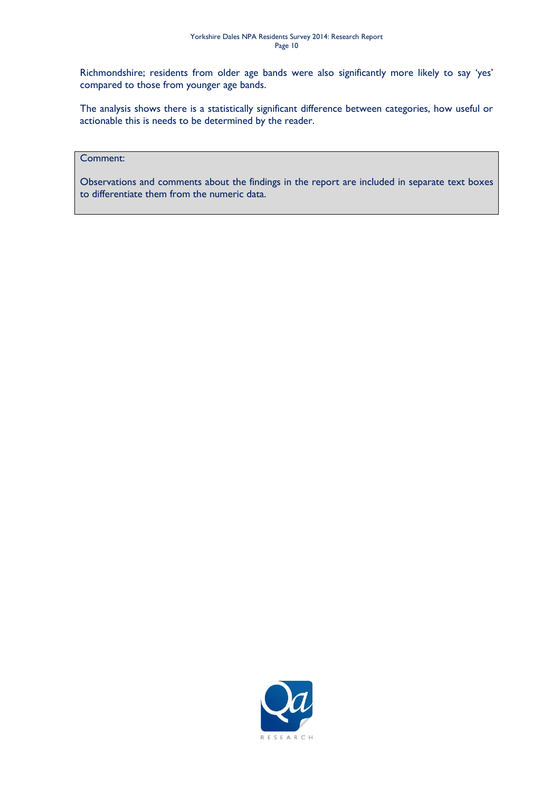Richmondshire; residents from older age bands were also significantly more likely to say 'yes' compared to those from younger age bands.

The analysis shows there is a statistically significant difference between categories, how useful or actionable this is needs to be determined by the reader.

#### Comment:

Observations and comments about the findings in the report are included in separate text boxes to differentiate them from the numeric data.

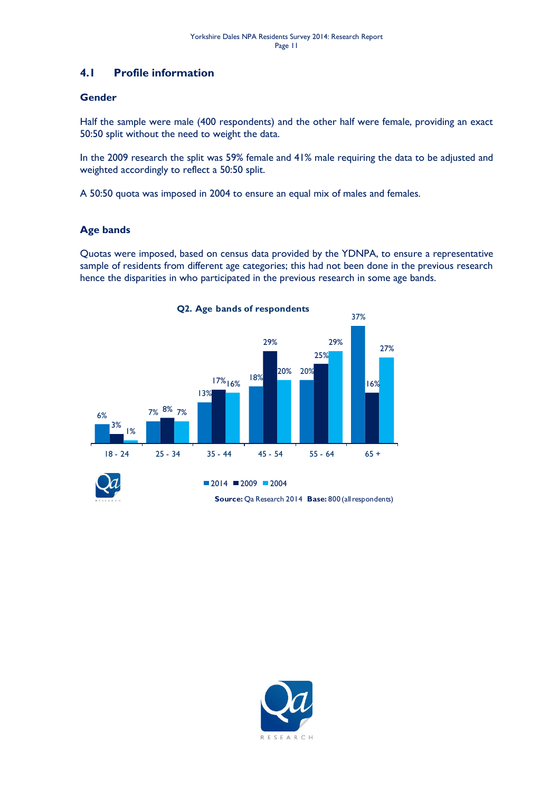### <span id="page-10-0"></span>**4.1 Profile information**

#### **Gender**

Half the sample were male (400 respondents) and the other half were female, providing an exact 50:50 split without the need to weight the data.

In the 2009 research the split was 59% female and 41% male requiring the data to be adjusted and weighted accordingly to reflect a 50:50 split.

A 50:50 quota was imposed in 2004 to ensure an equal mix of males and females.

#### **Age bands**

Quotas were imposed, based on census data provided by the YDNPA, to ensure a representative sample of residents from different age categories; this had not been done in the previous research hence the disparities in who participated in the previous research in some age bands.



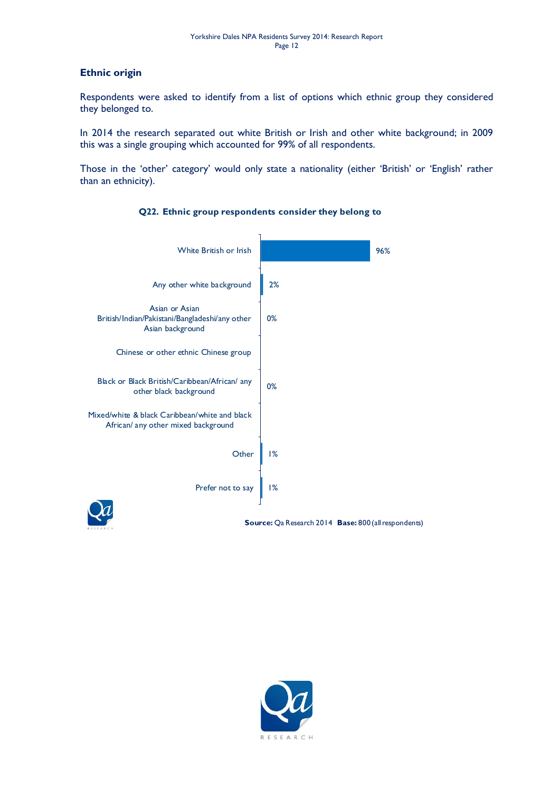#### **Ethnic origin**

Respondents were asked to identify from a list of options which ethnic group they considered they belonged to.

In 2014 the research separated out white British or Irish and other white background; in 2009 this was a single grouping which accounted for 99% of all respondents.

Those in the 'other' category' would only state a nationality (either 'British' or 'English' rather than an ethnicity).



### **Q22. Ethnic group respondents consider they belong to**

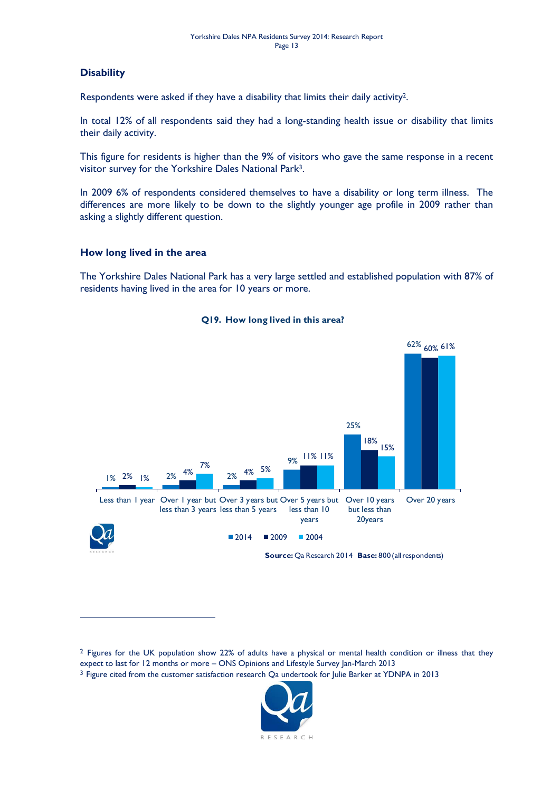#### **Disability**

-

Respondents were asked if they have a disability that limits their daily activity2.

In total 12% of all respondents said they had a long-standing health issue or disability that limits their daily activity.

This figure for residents is higher than the 9% of visitors who gave the same response in a recent visitor survey for the Yorkshire Dales National Park3.

In 2009 6% of respondents considered themselves to have a disability or long term illness. The differences are more likely to be down to the slightly younger age profile in 2009 rather than asking a slightly different question.

#### **How long lived in the area**

The Yorkshire Dales National Park has a very large settled and established population with 87% of residents having lived in the area for 10 years or more.



**Q19. How long lived in this area?**

<sup>3</sup> Figure cited from the customer satisfaction research Qa undertook for Julie Barker at YDNPA in 2013



<sup>&</sup>lt;sup>2</sup> Figures for the UK population show 22% of adults have a physical or mental health condition or illness that they expect to last for 12 months or more – ONS Opinions and Lifestyle Survey Jan-March 2013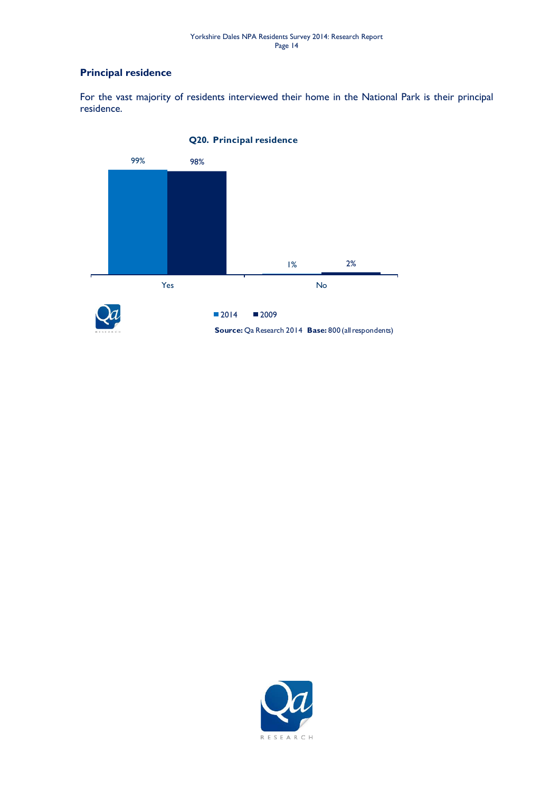#### **Principal residence**

For the vast majority of residents interviewed their home in the National Park is their principal residence.



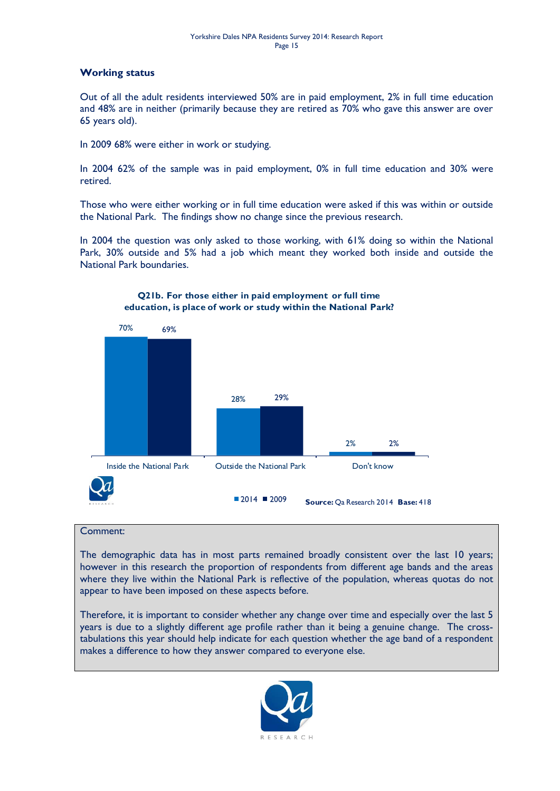#### **Working status**

Out of all the adult residents interviewed 50% are in paid employment, 2% in full time education and 48% are in neither (primarily because they are retired as 70% who gave this answer are over 65 years old).

In 2009 68% were either in work or studying.

In 2004 62% of the sample was in paid employment, 0% in full time education and 30% were retired.

Those who were either working or in full time education were asked if this was within or outside the National Park. The findings show no change since the previous research.

In 2004 the question was only asked to those working, with 61% doing so within the National Park, 30% outside and 5% had a job which meant they worked both inside and outside the National Park boundaries.



#### **Q21b. For those either in paid employment or full time education, is place of work or study within the National Park?**

#### Comment:

The demographic data has in most parts remained broadly consistent over the last 10 years; however in this research the proportion of respondents from different age bands and the areas where they live within the National Park is reflective of the population, whereas quotas do not appear to have been imposed on these aspects before.

Therefore, it is important to consider whether any change over time and especially over the last 5 years is due to a slightly different age profile rather than it being a genuine change. The crosstabulations this year should help indicate for each question whether the age band of a respondent makes a difference to how they answer compared to everyone else.

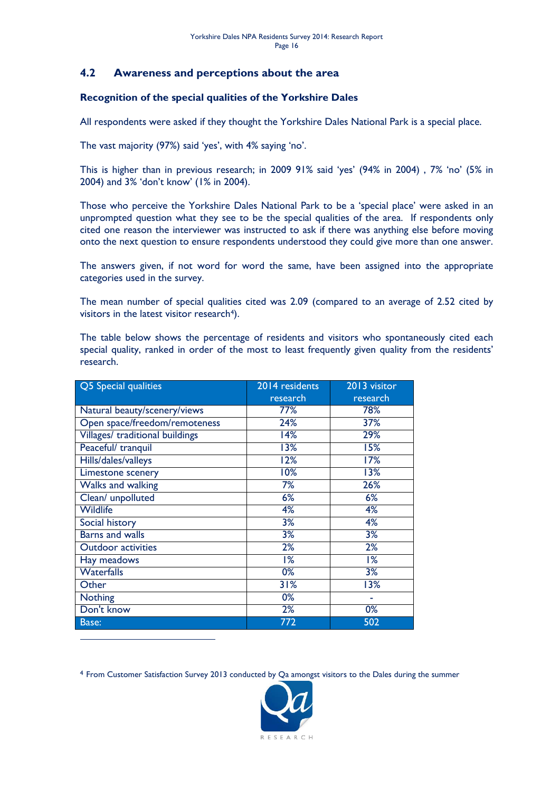#### <span id="page-15-0"></span>**4.2 Awareness and perceptions about the area**

#### **Recognition of the special qualities of the Yorkshire Dales**

All respondents were asked if they thought the Yorkshire Dales National Park is a special place.

The vast majority (97%) said 'yes', with 4% saying 'no'.

This is higher than in previous research; in 2009 91% said 'yes' (94% in 2004) , 7% 'no' (5% in 2004) and 3% 'don't know' (1% in 2004).

Those who perceive the Yorkshire Dales National Park to be a 'special place' were asked in an unprompted question what they see to be the special qualities of the area. If respondents only cited one reason the interviewer was instructed to ask if there was anything else before moving onto the next question to ensure respondents understood they could give more than one answer.

The answers given, if not word for word the same, have been assigned into the appropriate categories used in the survey.

The mean number of special qualities cited was 2.09 (compared to an average of 2.52 cited by visitors in the latest visitor research<sup>4</sup>).

The table below shows the percentage of residents and visitors who spontaneously cited each special quality, ranked in order of the most to least frequently given quality from the residents' research.

| Q5 Special qualities            | 2014 residents | 2013 visitor |
|---------------------------------|----------------|--------------|
|                                 | research       | research     |
| Natural beauty/scenery/views    | 77%            | 78%          |
| Open space/freedom/remoteness   | 24%            | 37%          |
| Villages/ traditional buildings | 14%            | 29%          |
| Peaceful/ tranquil              | 13%            | 15%          |
| Hills/dales/valleys             | 12%            | 17%          |
| Limestone scenery               | 10%            | 13%          |
| <b>Walks and walking</b>        | 7%             | 26%          |
| Clean/ unpolluted               | 6%             | 6%           |
| <b>Wildlife</b>                 | 4%             | 4%           |
| Social history                  | 3%             | 4%           |
| <b>Barns and walls</b>          | 3%             | 3%           |
| <b>Outdoor activities</b>       | 2%             | 2%           |
| Hay meadows                     | 1%             | 1%           |
| <b>Waterfalls</b>               | 0%             | 3%           |
| Other                           | 31%            | 13%          |
| <b>Nothing</b>                  | 0%             |              |
| Don't know                      | 2%             | 0%           |
| Base:                           | 772            | 502          |

-

4 From Customer Satisfaction Survey 2013 conducted by Qa amongst visitors to the Dales during the summer

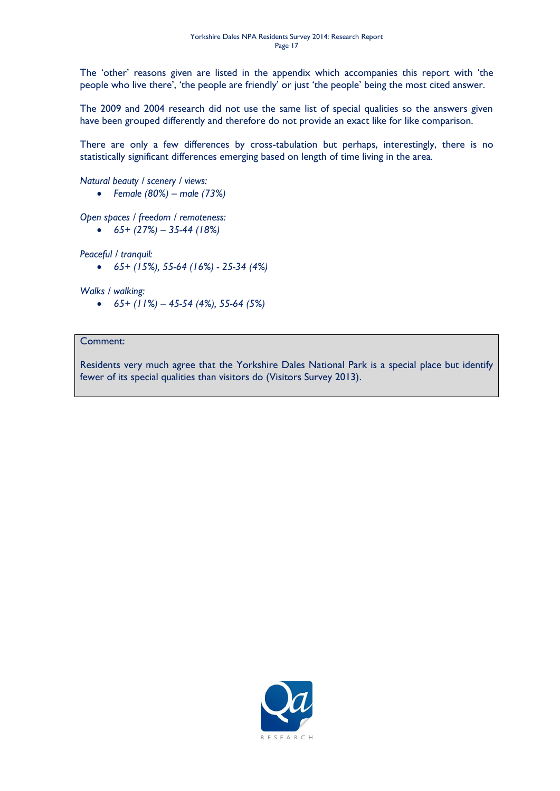The 'other' reasons given are listed in the appendix which accompanies this report with 'the people who live there', 'the people are friendly' or just 'the people' being the most cited answer.

The 2009 and 2004 research did not use the same list of special qualities so the answers given have been grouped differently and therefore do not provide an exact like for like comparison.

There are only a few differences by cross-tabulation but perhaps, interestingly, there is no statistically significant differences emerging based on length of time living in the area.

*Natural beauty / scenery / views:*

*Female (80%) – male (73%)*

*Open spaces / freedom / remoteness:*

*65+ (27%) – 35-44 (18%)*

*Peaceful / tranquil:*

*65+ (15%), 55-64 (16%) - 25-34 (4%)*

*Walks / walking:*

*65+ (11%) – 45-54 (4%), 55-64 (5%)*

#### Comment:

Residents very much agree that the Yorkshire Dales National Park is a special place but identify fewer of its special qualities than visitors do (Visitors Survey 2013).

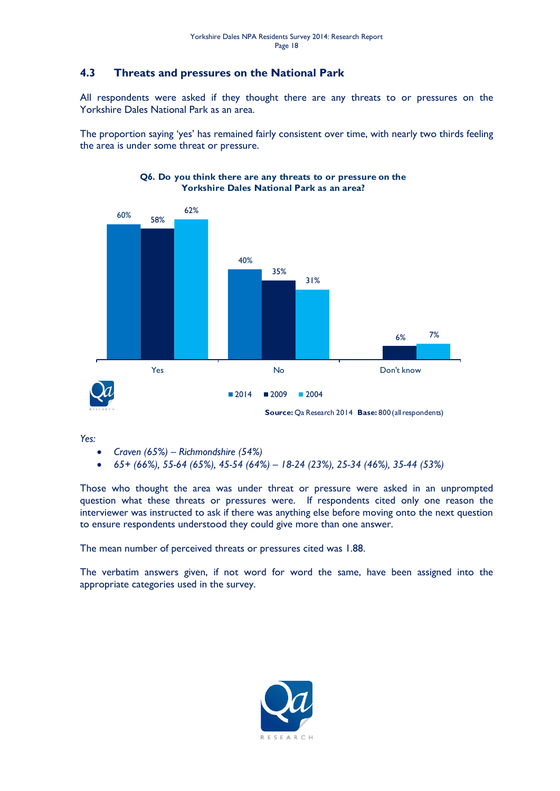### <span id="page-17-0"></span>**4.3 Threats and pressures on the National Park**

All respondents were asked if they thought there are any threats to or pressures on the Yorkshire Dales National Park as an area.

The proportion saying 'yes' has remained fairly consistent over time, with nearly two thirds feeling the area is under some threat or pressure.



#### **Q6. Do you think there are any threats to or pressure on the Yorkshire Dales National Park as an area?**

*Yes:*

- *Craven (65%) – Richmondshire (54%)*
- *65+ (66%), 55-64 (65%), 45-54 (64%) – 18-24 (23%), 25-34 (46%), 35-44 (53%)*

Those who thought the area was under threat or pressure were asked in an unprompted question what these threats or pressures were. If respondents cited only one reason the interviewer was instructed to ask if there was anything else before moving onto the next question to ensure respondents understood they could give more than one answer.

The mean number of perceived threats or pressures cited was 1.88.

The verbatim answers given, if not word for word the same, have been assigned into the appropriate categories used in the survey.

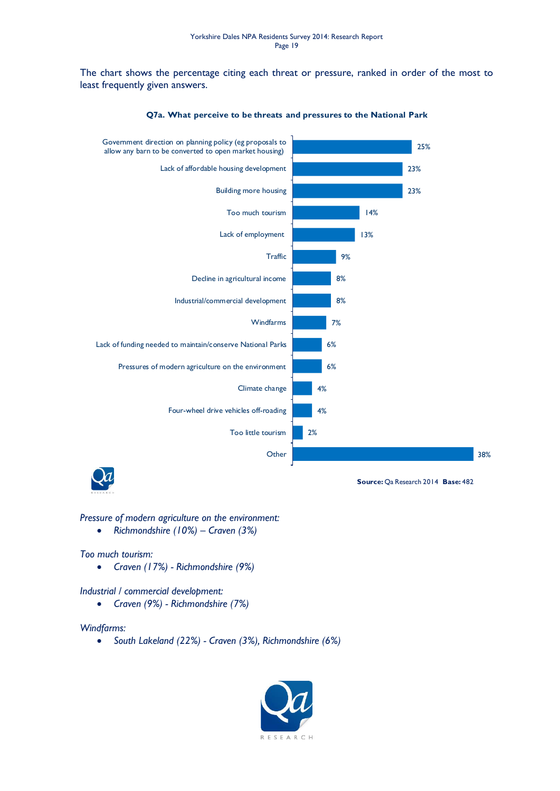The chart shows the percentage citing each threat or pressure, ranked in order of the most to least frequently given answers.



**Q7a. What perceive to be threats and pressures to the National Park**



**Source:** Qa Research 2014 **Base:** 482

#### *Pressure of modern agriculture on the environment:*

*Richmondshire (10%) – Craven (3%)*

#### *Too much tourism:*

*Craven (17%) - Richmondshire (9%)*

#### *Industrial / commercial development:*

*Craven (9%) - Richmondshire (7%)*

#### *Windfarms:*

*South Lakeland (22%) - Craven (3%), Richmondshire (6%)*

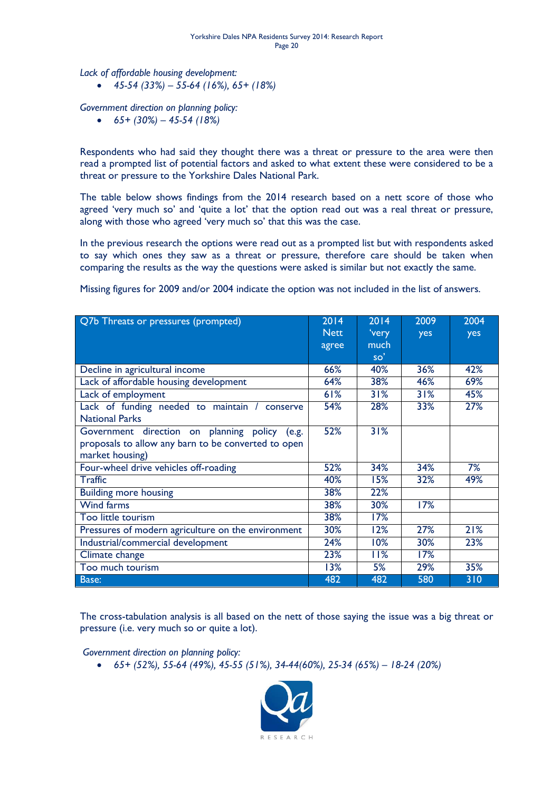*Lack of affordable housing development:*

*45-54 (33%) – 55-64 (16%), 65+ (18%)*

*Government direction on planning policy:*

*65+ (30%) – 45-54 (18%)*

Respondents who had said they thought there was a threat or pressure to the area were then read a prompted list of potential factors and asked to what extent these were considered to be a threat or pressure to the Yorkshire Dales National Park.

The table below shows findings from the 2014 research based on a nett score of those who agreed 'very much so' and 'quite a lot' that the option read out was a real threat or pressure, along with those who agreed 'very much so' that this was the case.

In the previous research the options were read out as a prompted list but with respondents asked to say which ones they saw as a threat or pressure, therefore care should be taken when comparing the results as the way the questions were asked is similar but not exactly the same.

Q7b Threats or pressures (prompted) 2014 **Nett** agree 2014 'very much so' 2009 yes 2004 yes Decline in agricultural income **66%** 40% 36% 42% Lack of affordable housing development  $\begin{array}{|c|c|c|c|c|c|c|c|c|} \hline \end{array}$  64% 38% 46% 69% Lack of employment 61% 31% 31% 45% Lack of funding needed to maintain / conserve National Parks 54% 28% 33% 27% Government direction on planning policy (e.g. proposals to allow any barn to be converted to open market housing) 52% 31% Four-wheel drive vehicles off-roading 1988 152% 34% 34% 34% 7% Traffic 40% 15% 32% 49% Building more housing 38% 22% Wind farms 38% 30% 17% Too little tourism and the set of the set of the set of the set of the set of the set of the set of the set of the set of the set of the set of the set of the set of the set of the set of the set of the set of the set of t Pressures of modern agriculture on the environment 30% 12% 27% 21% Industrial/commercial development 1 24% 10% 30% 23% Climate change 23% 11% 17% Too much tourism  $\begin{array}{|c|c|c|c|c|c|c|c|c|} \hline \end{array}$  13%  $\begin{array}{|c|c|c|c|c|c|c|c|} \hline \end{array}$  13%  $\begin{array}{|c|c|c|c|c|c|c|c|} \hline \end{array}$  29%  $\begin{array}{|c|c|c|c|c|c|c|c|c|} \hline \end{array}$ Base: 482 482 580 310

Missing figures for 2009 and/or 2004 indicate the option was not included in the list of answers.

The cross-tabulation analysis is all based on the nett of those saying the issue was a big threat or pressure (i.e. very much so or quite a lot).

*Government direction on planning policy:*

*65+ (52%), 55-64 (49%), 45-55 (51%), 34-44(60%), 25-34 (65%) – 18-24 (20%)*

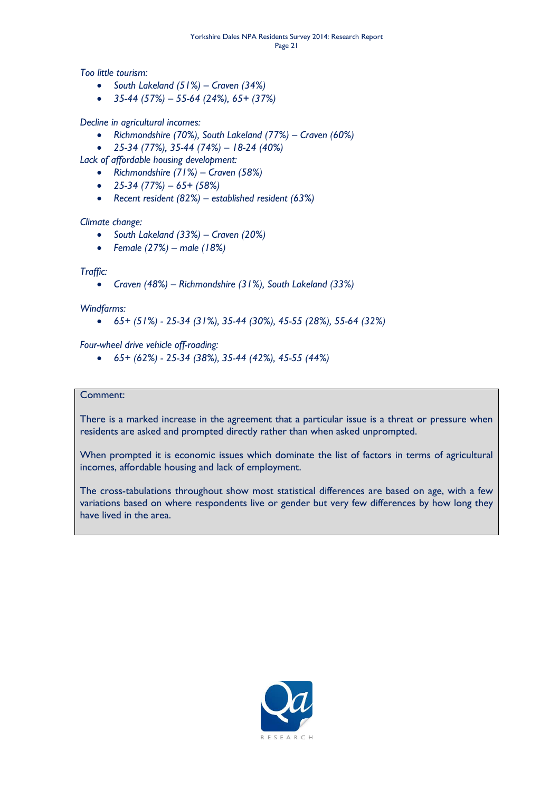*Too little tourism:*

- *South Lakeland (51%) – Craven (34%)*
- *35-44 (57%) – 55-64 (24%), 65+ (37%)*

*Decline in agricultural incomes:*

- *Richmondshire (70%), South Lakeland (77%) – Craven (60%)*
- *25-34 (77%), 35-44 (74%) – 18-24 (40%)*

*Lack of affordable housing development:*

- *Richmondshire (71%) – Craven (58%)*
- *25-34 (77%) – 65+ (58%)*
- *Recent resident (82%) – established resident (63%)*

#### *Climate change:*

- *South Lakeland (33%) – Craven (20%)*
- *Female (27%) – male (18%)*

#### *Traffic:*

*Craven (48%) – Richmondshire (31%), South Lakeland (33%)*

#### *Windfarms:*

*65+ (51%) - 25-34 (31%), 35-44 (30%), 45-55 (28%), 55-64 (32%)*

*Four-wheel drive vehicle off-roading:*

*65+ (62%) - 25-34 (38%), 35-44 (42%), 45-55 (44%)*

#### Comment:

There is a marked increase in the agreement that a particular issue is a threat or pressure when residents are asked and prompted directly rather than when asked unprompted.

When prompted it is economic issues which dominate the list of factors in terms of agricultural incomes, affordable housing and lack of employment.

The cross-tabulations throughout show most statistical differences are based on age, with a few variations based on where respondents live or gender but very few differences by how long they have lived in the area.

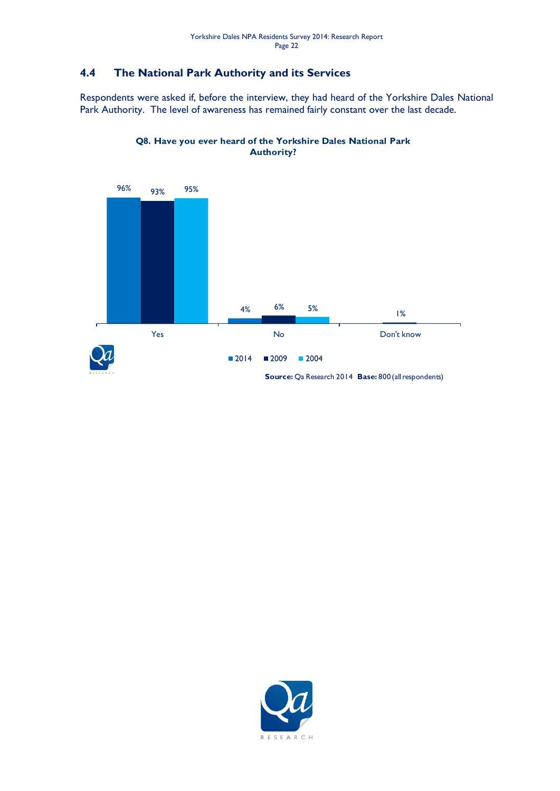### <span id="page-21-0"></span>**4.4 The National Park Authority and its Services**

Respondents were asked if, before the interview, they had heard of the Yorkshire Dales National Park Authority. The level of awareness has remained fairly constant over the last decade.



#### **Q8. Have you ever heard of the Yorkshire Dales National Park Authority?**

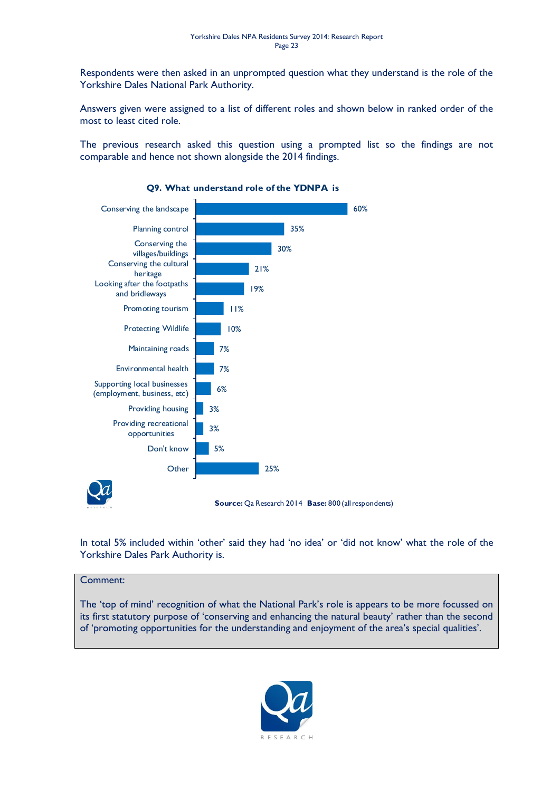Respondents were then asked in an unprompted question what they understand is the role of the Yorkshire Dales National Park Authority.

Answers given were assigned to a list of different roles and shown below in ranked order of the most to least cited role.

The previous research asked this question using a prompted list so the findings are not comparable and hence not shown alongside the 2014 findings.



#### **Q9. What understand role of the YDNPA is**

In total 5% included within 'other' said they had 'no idea' or 'did not know' what the role of the Yorkshire Dales Park Authority is.

#### Comment:

The 'top of mind' recognition of what the National Park's role is appears to be more focussed on its first statutory purpose of 'conserving and enhancing the natural beauty' rather than the second of 'promoting opportunities for the understanding and enjoyment of the area's special qualities'.

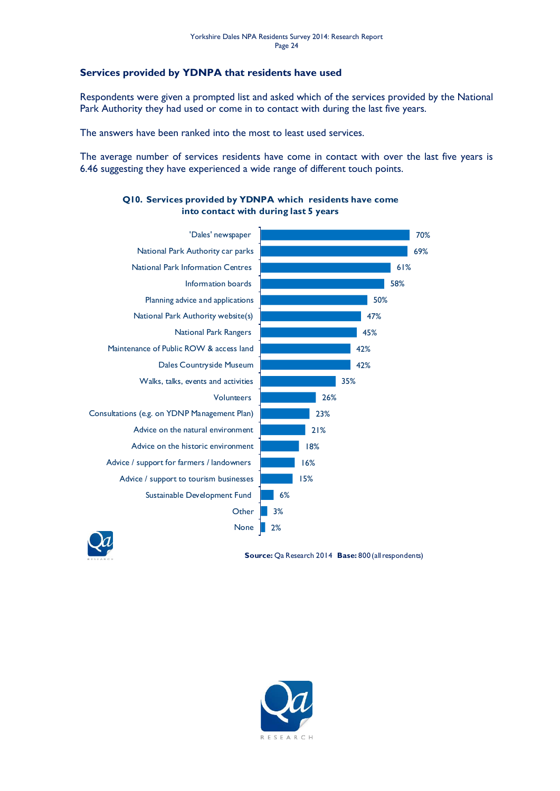#### **Services provided by YDNPA that residents have used**

Respondents were given a prompted list and asked which of the services provided by the National Park Authority they had used or come in to contact with during the last five years.

The answers have been ranked into the most to least used services.

The average number of services residents have come in contact with over the last five years is 6.46 suggesting they have experienced a wide range of different touch points.



#### **Q10. Services provided by YDNPA which residents have come into contact with during last 5 years**



**Source:** Qa Research 2014 **Base:** 800 (all respondents)

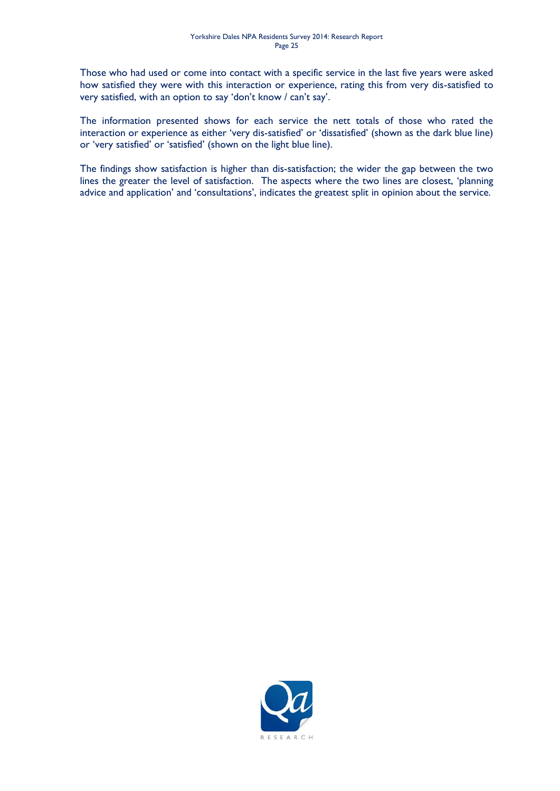Those who had used or come into contact with a specific service in the last five years were asked how satisfied they were with this interaction or experience, rating this from very dis-satisfied to very satisfied, with an option to say 'don't know / can't say'.

The information presented shows for each service the nett totals of those who rated the interaction or experience as either 'very dis-satisfied' or 'dissatisfied' (shown as the dark blue line) or 'very satisfied' or 'satisfied' (shown on the light blue line).

The findings show satisfaction is higher than dis-satisfaction; the wider the gap between the two lines the greater the level of satisfaction. The aspects where the two lines are closest, 'planning advice and application' and 'consultations', indicates the greatest split in opinion about the service.

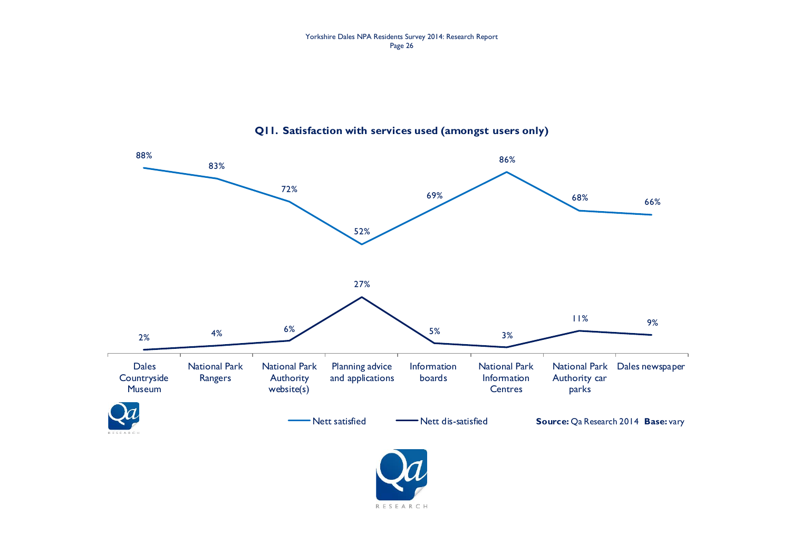#### **Q11. Satisfaction with services used (amongst users only)**



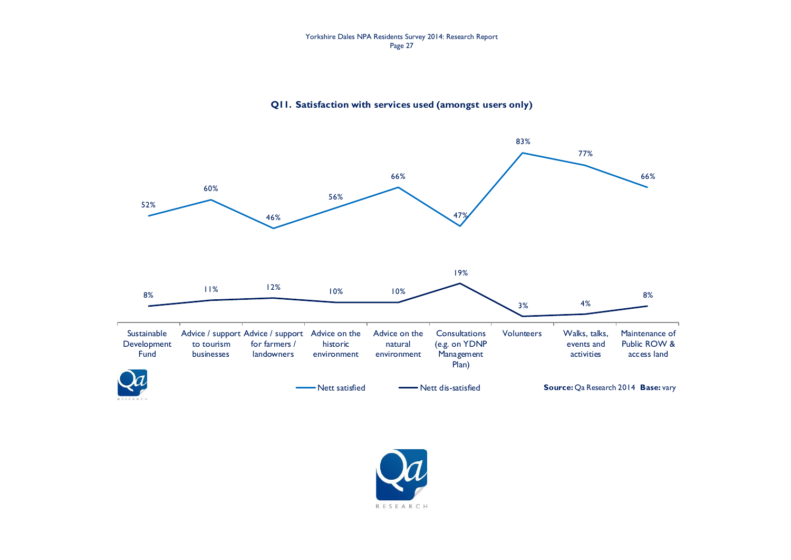#### Yorkshire Dales NPA Residents Survey 2014: Research Report Page 27

#### **Q11. Satisfaction with services used (amongst users only)**



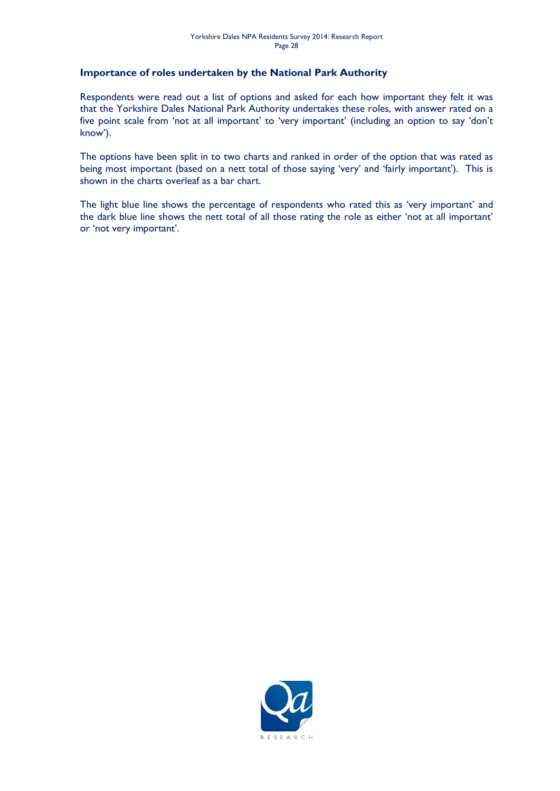#### **Importance of roles undertaken by the National Park Authority**

Respondents were read out a list of options and asked for each how important they felt it was that the Yorkshire Dales National Park Authority undertakes these roles, with answer rated on a five point scale from 'not at all important' to 'very important' (including an option to say 'don't know').

The options have been split in to two charts and ranked in order of the option that was rated as being most important (based on a nett total of those saying 'very' and 'fairly important'). This is shown in the charts overleaf as a bar chart.

The light blue line shows the percentage of respondents who rated this as 'very important' and the dark blue line shows the nett total of all those rating the role as either 'not at all important' or 'not very important'.

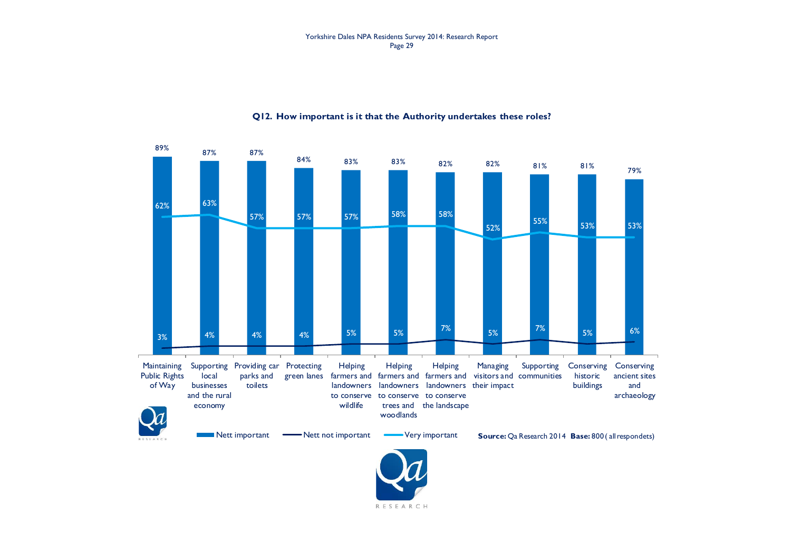#### Yorkshire Dales NPA Residents Survey 2014: Research Report Page 29



#### **Q12. How important is it that the Authority undertakes these roles?**

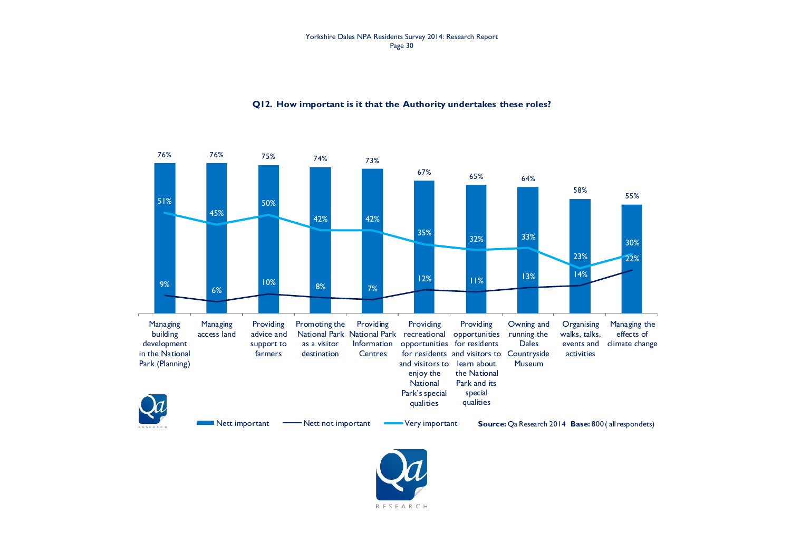#### Yorkshire Dales NPA Residents Survey 2014: Research Report Page 30

#### 76% 76% 75% 74% 73%  $67\%$  65% 64% 58% 55% 9% 6% 10% 8% 7% 12% 11% 13% 14% 22% 51% 45% 50% 42% 42% 35% 32% 33% 23% 30% Managing building development in the National Park (Planning) Managing access land Providing advice and support to farmers Promoting the National Park National Park recreational opportunities running the as a visitor destination Providing Information **Centres** Providing opportunities for residents for residents and visitors to Countryside and visitors to learn about enjoy the **National** Park's special qualities Providing the National Park and its special qualities Owning and Dales **Museum Organising** walks, talks, events and climate change activities Managing the effects of Nett important **-** Nett not important **Very important Source:** Qa Research 2014 **Base:**  $800$  ( all respondets)

#### **Q12. How important is it that the Authority undertakes these roles?**

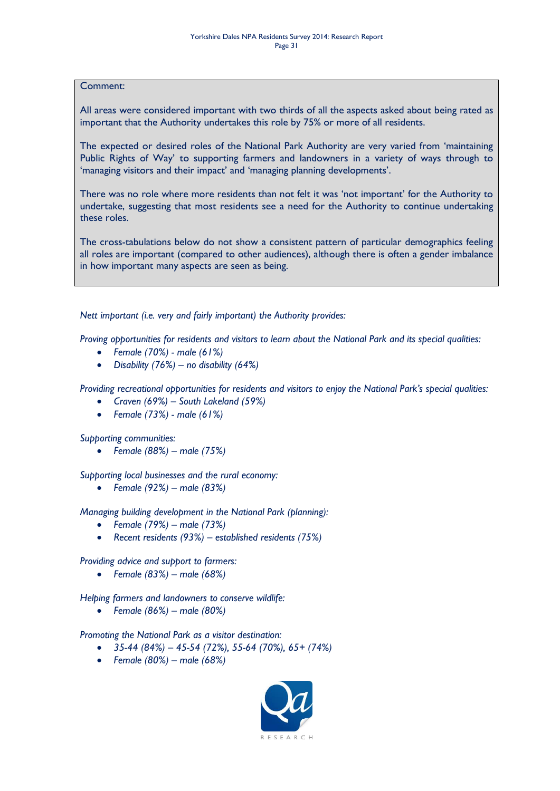#### Comment:

All areas were considered important with two thirds of all the aspects asked about being rated as important that the Authority undertakes this role by 75% or more of all residents.

The expected or desired roles of the National Park Authority are very varied from 'maintaining Public Rights of Way' to supporting farmers and landowners in a variety of ways through to 'managing visitors and their impact' and 'managing planning developments'.

There was no role where more residents than not felt it was 'not important' for the Authority to undertake, suggesting that most residents see a need for the Authority to continue undertaking these roles.

The cross-tabulations below do not show a consistent pattern of particular demographics feeling all roles are important (compared to other audiences), although there is often a gender imbalance in how important many aspects are seen as being.

*Nett important (i.e. very and fairly important) the Authority provides:*

*Proving opportunities for residents and visitors to learn about the National Park and its special qualities:*

- *Female (70%) - male (61%)*
- *Disability (76%) – no disability (64%)*

*Providing recreational opportunities for residents and visitors to enjoy the National Park's special qualities:*

- *Craven (69%) – South Lakeland (59%)*
- *Female (73%) - male (61%)*

*Supporting communities:*

*Female (88%) – male (75%)*

*Supporting local businesses and the rural economy:*

*Female (92%) – male (83%)*

*Managing building development in the National Park (planning):*

- *Female (79%) – male (73%)*
- *Recent residents (93%) – established residents (75%)*

*Providing advice and support to farmers:*

*Female (83%) – male (68%)*

*Helping farmers and landowners to conserve wildlife:*

*Female (86%) – male (80%)*

*Promoting the National Park as a visitor destination:*

- *35-44 (84%) – 45-54 (72%), 55-64 (70%), 65+ (74%)*
- *Female (80%) – male (68%)*

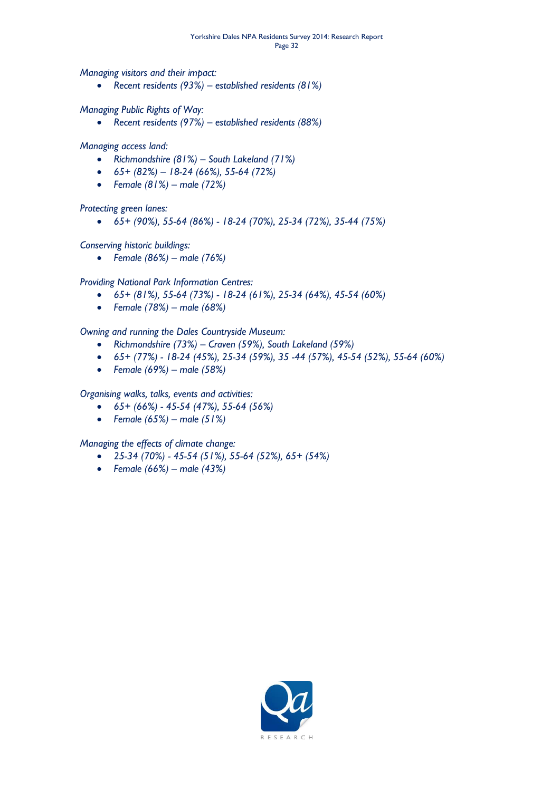*Managing visitors and their impact:*

*Recent residents (93%) – established residents (81%)*

*Managing Public Rights of Way:*

*Recent residents (97%) – established residents (88%)*

*Managing access land:*

- *Richmondshire (81%) – South Lakeland (71%)*
- *65+ (82%) – 18-24 (66%), 55-64 (72%)*
- *Female (81%) – male (72%)*

*Protecting green lanes:*

*65+ (90%), 55-64 (86%) - 18-24 (70%), 25-34 (72%), 35-44 (75%)*

*Conserving historic buildings:*

*Female (86%) – male (76%)*

*Providing National Park Information Centres:*

- *65+ (81%), 55-64 (73%) - 18-24 (61%), 25-34 (64%), 45-54 (60%)*
- *Female (78%) – male (68%)*

*Owning and running the Dales Countryside Museum:*

- *Richmondshire (73%) – Craven (59%), South Lakeland (59%)*
- *65+ (77%) - 18-24 (45%), 25-34 (59%), 35 -44 (57%), 45-54 (52%), 55-64 (60%)*
- *Female (69%) – male (58%)*

*Organising walks, talks, events and activities:*

- *65+ (66%) - 45-54 (47%), 55-64 (56%)*
- *Female (65%) – male (51%)*

*Managing the effects of climate change:*

- *25-34 (70%) - 45-54 (51%), 55-64 (52%), 65+ (54%)*
- *Female (66%) – male (43%)*

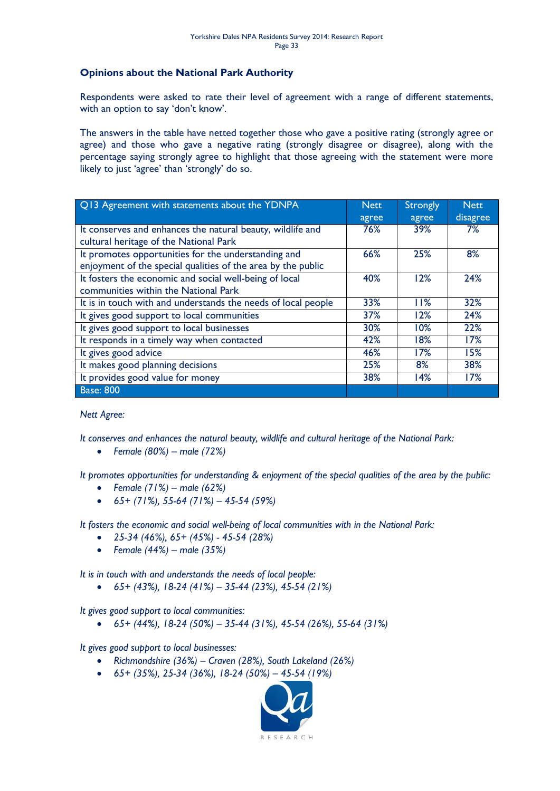#### **Opinions about the National Park Authority**

Respondents were asked to rate their level of agreement with a range of different statements, with an option to say 'don't know'.

The answers in the table have netted together those who gave a positive rating (strongly agree or agree) and those who gave a negative rating (strongly disagree or disagree), along with the percentage saying strongly agree to highlight that those agreeing with the statement were more likely to just 'agree' than 'strongly' do so.

| Q13 Agreement with statements about the YDNPA                 | <b>Nett</b> | <b>Strongly</b> | <b>Nett</b> |
|---------------------------------------------------------------|-------------|-----------------|-------------|
|                                                               | agree       | agree           | disagree    |
| It conserves and enhances the natural beauty, wildlife and    | 76%         | 39%             | 7%          |
| cultural heritage of the National Park                        |             |                 |             |
| It promotes opportunities for the understanding and           | 66%         | 25%             | 8%          |
| enjoyment of the special qualities of the area by the public  |             |                 |             |
| It fosters the economic and social well-being of local        | 40%         | 12%             | 24%         |
| communities within the National Park                          |             |                 |             |
| It is in touch with and understands the needs of local people | 33%         | 11%             | 32%         |
| It gives good support to local communities                    | 37%         | 12%             | 24%         |
| It gives good support to local businesses                     | 30%         | 10%             | 22%         |
| It responds in a timely way when contacted                    | 42%         | 18%             | 17%         |
| It gives good advice                                          | 46%         | 17%             | 15%         |
| It makes good planning decisions                              | 25%         | 8%              | 38%         |
| It provides good value for money                              | 38%         | 14%             | 17%         |
| <b>Base: 800</b>                                              |             |                 |             |

*Nett Agree:*

*It conserves and enhances the natural beauty, wildlife and cultural heritage of the National Park:*

*Female (80%) – male (72%)*

*It promotes opportunities for understanding & enjoyment of the special qualities of the area by the public:*

- *Female (71%) – male (62%)*
- *65+ (71%), 55-64 (71%) – 45-54 (59%)*

*It fosters the economic and social well-being of local communities with in the National Park:*

- *25-34 (46%), 65+ (45%) - 45-54 (28%)*
- *Female (44%) – male (35%)*

*It is in touch with and understands the needs of local people:*

*65+ (43%), 18-24 (41%) – 35-44 (23%), 45-54 (21%)*

*It gives good support to local communities:*

*65+ (44%), 18-24 (50%) – 35-44 (31%), 45-54 (26%), 55-64 (31%)*

*It gives good support to local businesses:*

- *Richmondshire (36%) – Craven (28%), South Lakeland (26%)*
- *65+ (35%), 25-34 (36%), 18-24 (50%) – 45-54 (19%)*

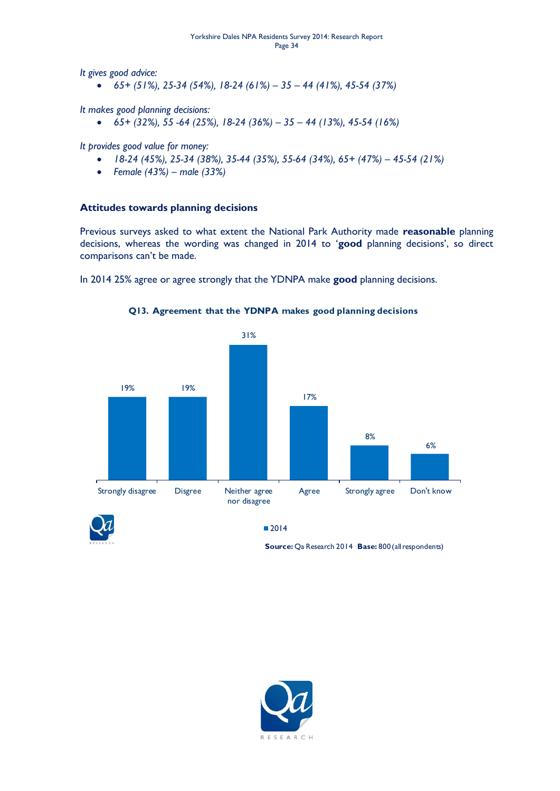*It gives good advice:*

*65+ (51%), 25-34 (54%), 18-24 (61%) – 35 – 44 (41%), 45-54 (37%)*

*It makes good planning decisions:*

*65+ (32%), 55 -64 (25%), 18-24 (36%) – 35 – 44 (13%), 45-54 (16%)*

*It provides good value for money:*

- *18-24 (45%), 25-34 (38%), 35-44 (35%), 55-64 (34%), 65+ (47%) – 45-54 (21%)*
- *Female (43%) – male (33%)*

#### **Attitudes towards planning decisions**

Previous surveys asked to what extent the National Park Authority made **reasonable** planning decisions, whereas the wording was changed in 2014 to '**good** planning decisions', so direct comparisons can't be made.

In 2014 25% agree or agree strongly that the YDNPA make **good** planning decisions.



**Q13. Agreement that the YDNPA makes good planning decisions**



**Source:** Qa Research 2014 **Base:** 800 (all respondents)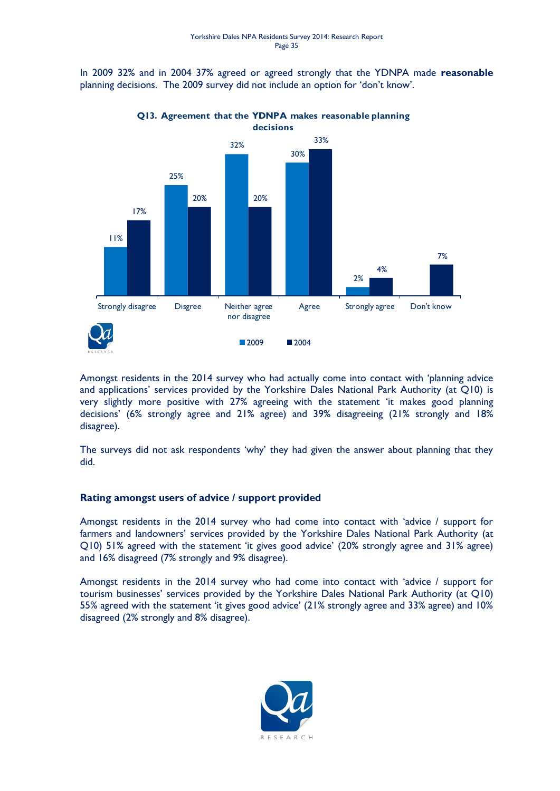In 2009 32% and in 2004 37% agreed or agreed strongly that the YDNPA made **reasonable** planning decisions. The 2009 survey did not include an option for 'don't know'.



#### **Q13. Agreement that the YDNPA makes reasonable planning decisions**

Amongst residents in the 2014 survey who had actually come into contact with 'planning advice and applications' services provided by the Yorkshire Dales National Park Authority (at Q10) is very slightly more positive with 27% agreeing with the statement 'it makes good planning decisions' (6% strongly agree and 21% agree) and 39% disagreeing (21% strongly and 18% disagree).

The surveys did not ask respondents 'why' they had given the answer about planning that they did.

#### **Rating amongst users of advice / support provided**

Amongst residents in the 2014 survey who had come into contact with 'advice / support for farmers and landowners' services provided by the Yorkshire Dales National Park Authority (at Q10) 51% agreed with the statement 'it gives good advice' (20% strongly agree and 31% agree) and 16% disagreed (7% strongly and 9% disagree).

Amongst residents in the 2014 survey who had come into contact with 'advice / support for tourism businesses' services provided by the Yorkshire Dales National Park Authority (at Q10) 55% agreed with the statement 'it gives good advice' (21% strongly agree and 33% agree) and 10% disagreed (2% strongly and 8% disagree).

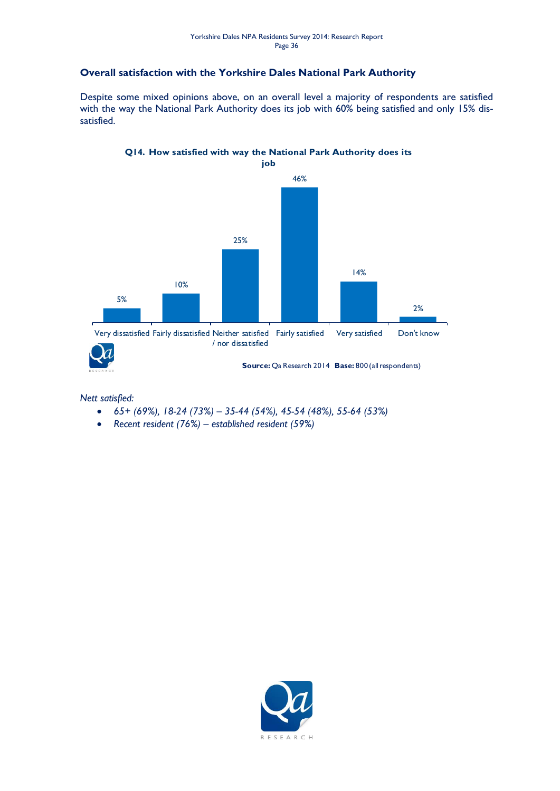#### **Overall satisfaction with the Yorkshire Dales National Park Authority**

Despite some mixed opinions above, on an overall level a majority of respondents are satisfied with the way the National Park Authority does its job with 60% being satisfied and only 15% dissatisfied.

### **Q14. How satisfied with way the National Park Authority does its**



**Source:** Qa Research 2014 **Base:** 800 (all respondents)

*Nett satisfied:*

- *65+ (69%), 18-24 (73%) – 35-44 (54%), 45-54 (48%), 55-64 (53%)*
- *Recent resident (76%) – established resident (59%)*

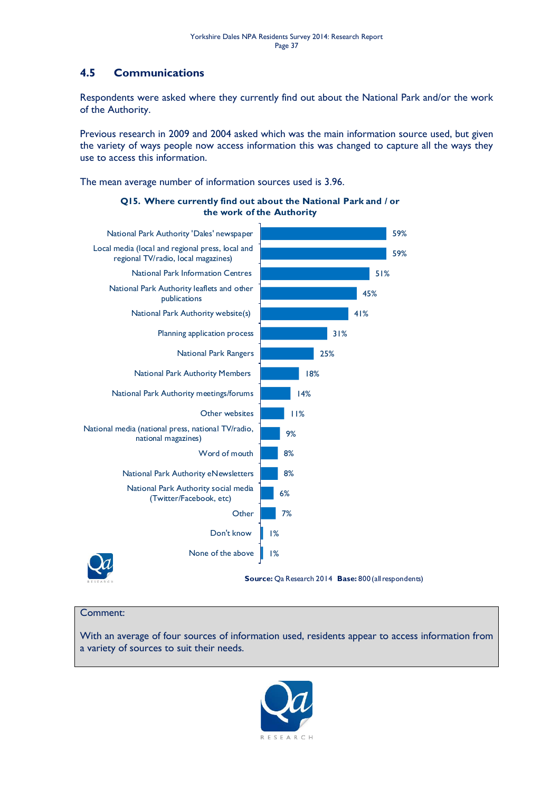### <span id="page-36-0"></span>**4.5 Communications**

Respondents were asked where they currently find out about the National Park and/or the work of the Authority.

Previous research in 2009 and 2004 asked which was the main information source used, but given the variety of ways people now access information this was changed to capture all the ways they use to access this information.

The mean average number of information sources used is 3.96.



#### **Q15. Where currently find out about the National Park and / or the work of the Authority**

#### Comment:

With an average of four sources of information used, residents appear to access information from a variety of sources to suit their needs.

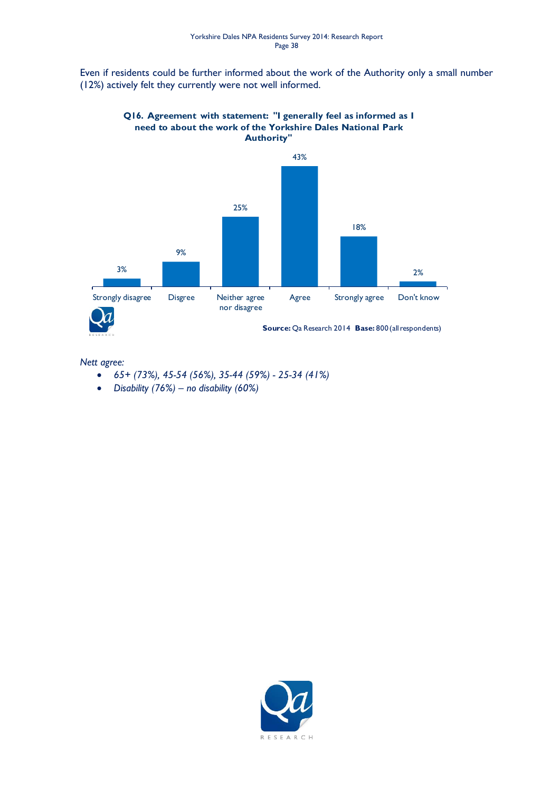Even if residents could be further informed about the work of the Authority only a small number (12%) actively felt they currently were not well informed.



**Q16. Agreement with statement: "I generally feel as informed as I need to about the work of the Yorkshire Dales National Park Authority"**

#### *Nett agree:*

- *65+ (73%), 45-54 (56%), 35-44 (59%) - 25-34 (41%)*
- *Disability (76%) – no disability (60%)*

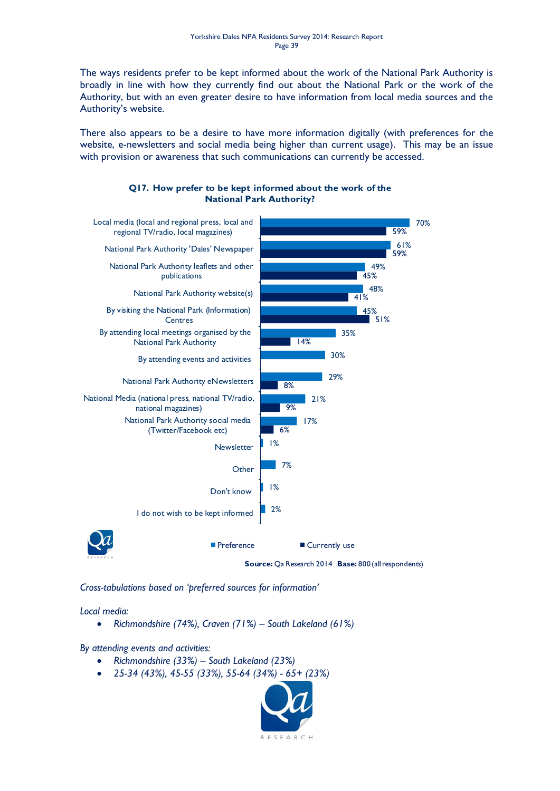The ways residents prefer to be kept informed about the work of the National Park Authority is broadly in line with how they currently find out about the National Park or the work of the Authority, but with an even greater desire to have information from local media sources and the Authority's website.

There also appears to be a desire to have more information digitally (with preferences for the website, e-newsletters and social media being higher than current usage). This may be an issue with provision or awareness that such communications can currently be accessed.



#### **Q17. How prefer to be kept informed about the work of the National Park Authority?**

*Cross-tabulations based on 'preferred sources for information'*

#### *Local media:*

*Richmondshire (74%), Craven (71%) – South Lakeland (61%)*

*By attending events and activities:*

- *Richmondshire (33%) – South Lakeland (23%)*
- *25-34 (43%), 45-55 (33%), 55-64 (34%) - 65+ (23%)*

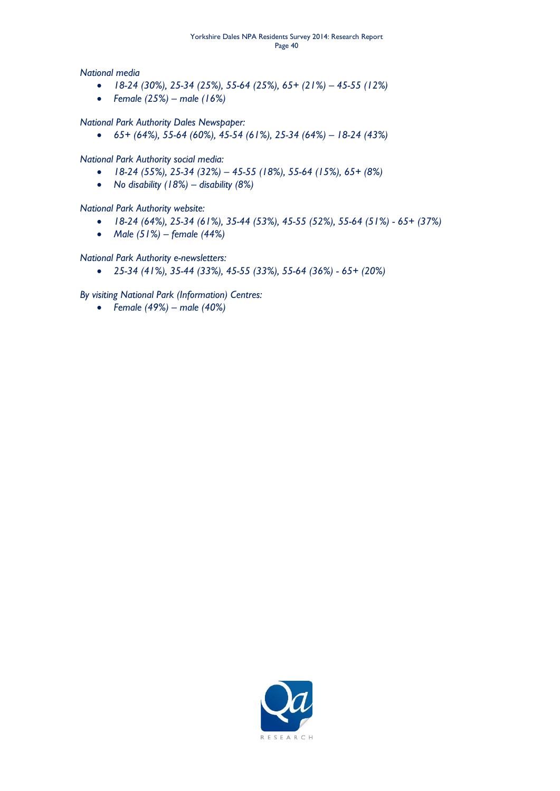#### Yorkshire Dales NPA Residents Survey 2014: Research Report Page 40

*National media*

- *18-24 (30%), 25-34 (25%), 55-64 (25%), 65+ (21%) – 45-55 (12%)*
- *Female (25%) – male (16%)*

#### *National Park Authority Dales Newspaper:*

*65+ (64%), 55-64 (60%), 45-54 (61%), 25-34 (64%) – 18-24 (43%)*

#### *National Park Authority social media:*

- *18-24 (55%), 25-34 (32%) – 45-55 (18%), 55-64 (15%), 65+ (8%)*
- *No disability (18%) – disability (8%)*

#### *National Park Authority website:*

- *18-24 (64%), 25-34 (61%), 35-44 (53%), 45-55 (52%), 55-64 (51%) - 65+ (37%)*
- *Male (51%) – female (44%)*

#### *National Park Authority e-newsletters:*

*25-34 (41%), 35-44 (33%), 45-55 (33%), 55-64 (36%) - 65+ (20%)*

*By visiting National Park (Information) Centres:*

*Female (49%) – male (40%)*

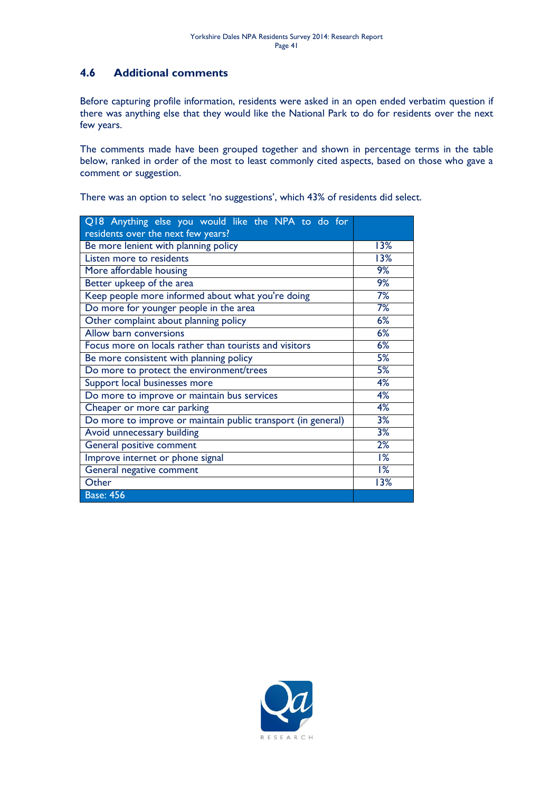### <span id="page-40-0"></span>**4.6 Additional comments**

Before capturing profile information, residents were asked in an open ended verbatim question if there was anything else that they would like the National Park to do for residents over the next few years.

The comments made have been grouped together and shown in percentage terms in the table below, ranked in order of the most to least commonly cited aspects, based on those who gave a comment or suggestion.

| Q18 Anything else you would like the NPA to do for           |                  |
|--------------------------------------------------------------|------------------|
| residents over the next few years?                           |                  |
| Be more lenient with planning policy                         | 13%              |
| Listen more to residents                                     | 13%              |
| More affordable housing                                      | 9%               |
| Better upkeep of the area                                    | 9%               |
| Keep people more informed about what you're doing            | 7%               |
| Do more for younger people in the area                       | 7%               |
| Other complaint about planning policy                        | 6%               |
| Allow barn conversions                                       | 6%               |
| Focus more on locals rather than tourists and visitors       | 6%               |
| Be more consistent with planning policy                      | 5%               |
| Do more to protect the environment/trees                     | 5%               |
| Support local businesses more                                | 4%               |
| Do more to improve or maintain bus services                  | 4%               |
| Cheaper or more car parking                                  | 4%               |
| Do more to improve or maintain public transport (in general) | 3%               |
| Avoid unnecessary building                                   | 3%               |
| General positive comment                                     | 2%               |
| Improve internet or phone signal                             | 1%               |
| General negative comment                                     | $\overline{1\%}$ |
| Other                                                        | 13%              |
| <b>Base: 456</b>                                             |                  |

There was an option to select 'no suggestions', which 43% of residents did select.

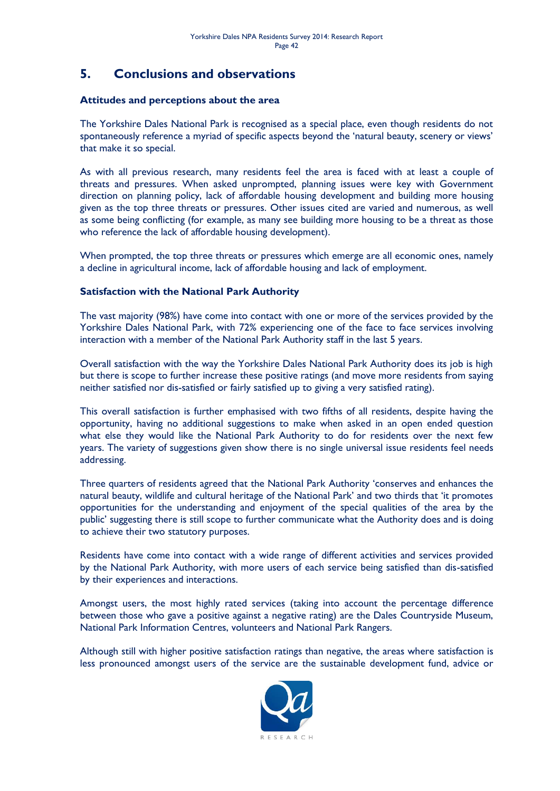## <span id="page-41-0"></span>**5. Conclusions and observations**

#### **Attitudes and perceptions about the area**

The Yorkshire Dales National Park is recognised as a special place, even though residents do not spontaneously reference a myriad of specific aspects beyond the 'natural beauty, scenery or views' that make it so special.

As with all previous research, many residents feel the area is faced with at least a couple of threats and pressures. When asked unprompted, planning issues were key with Government direction on planning policy, lack of affordable housing development and building more housing given as the top three threats or pressures. Other issues cited are varied and numerous, as well as some being conflicting (for example, as many see building more housing to be a threat as those who reference the lack of affordable housing development).

When prompted, the top three threats or pressures which emerge are all economic ones, namely a decline in agricultural income, lack of affordable housing and lack of employment.

#### **Satisfaction with the National Park Authority**

The vast majority (98%) have come into contact with one or more of the services provided by the Yorkshire Dales National Park, with 72% experiencing one of the face to face services involving interaction with a member of the National Park Authority staff in the last 5 years.

Overall satisfaction with the way the Yorkshire Dales National Park Authority does its job is high but there is scope to further increase these positive ratings (and move more residents from saying neither satisfied nor dis-satisfied or fairly satisfied up to giving a very satisfied rating).

This overall satisfaction is further emphasised with two fifths of all residents, despite having the opportunity, having no additional suggestions to make when asked in an open ended question what else they would like the National Park Authority to do for residents over the next few years. The variety of suggestions given show there is no single universal issue residents feel needs addressing.

Three quarters of residents agreed that the National Park Authority 'conserves and enhances the natural beauty, wildlife and cultural heritage of the National Park' and two thirds that 'it promotes opportunities for the understanding and enjoyment of the special qualities of the area by the public' suggesting there is still scope to further communicate what the Authority does and is doing to achieve their two statutory purposes.

Residents have come into contact with a wide range of different activities and services provided by the National Park Authority, with more users of each service being satisfied than dis-satisfied by their experiences and interactions.

Amongst users, the most highly rated services (taking into account the percentage difference between those who gave a positive against a negative rating) are the Dales Countryside Museum, National Park Information Centres, volunteers and National Park Rangers.

Although still with higher positive satisfaction ratings than negative, the areas where satisfaction is less pronounced amongst users of the service are the sustainable development fund, advice or

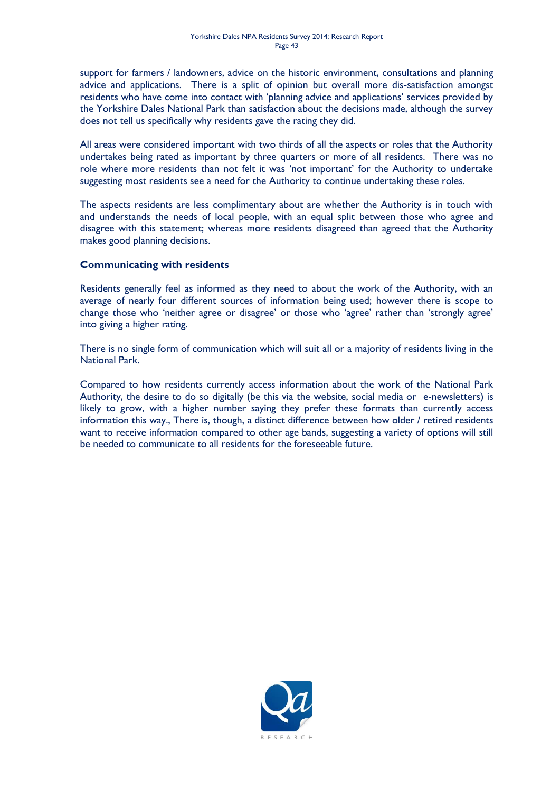support for farmers / landowners, advice on the historic environment, consultations and planning advice and applications. There is a split of opinion but overall more dis-satisfaction amongst residents who have come into contact with 'planning advice and applications' services provided by the Yorkshire Dales National Park than satisfaction about the decisions made, although the survey does not tell us specifically why residents gave the rating they did.

All areas were considered important with two thirds of all the aspects or roles that the Authority undertakes being rated as important by three quarters or more of all residents. There was no role where more residents than not felt it was 'not important' for the Authority to undertake suggesting most residents see a need for the Authority to continue undertaking these roles.

The aspects residents are less complimentary about are whether the Authority is in touch with and understands the needs of local people, with an equal split between those who agree and disagree with this statement; whereas more residents disagreed than agreed that the Authority makes good planning decisions.

#### **Communicating with residents**

Residents generally feel as informed as they need to about the work of the Authority, with an average of nearly four different sources of information being used; however there is scope to change those who 'neither agree or disagree' or those who 'agree' rather than 'strongly agree' into giving a higher rating.

There is no single form of communication which will suit all or a majority of residents living in the National Park.

Compared to how residents currently access information about the work of the National Park Authority, the desire to do so digitally (be this via the website, social media or e-newsletters) is likely to grow, with a higher number saying they prefer these formats than currently access information this way., There is, though, a distinct difference between how older / retired residents want to receive information compared to other age bands, suggesting a variety of options will still be needed to communicate to all residents for the foreseeable future.

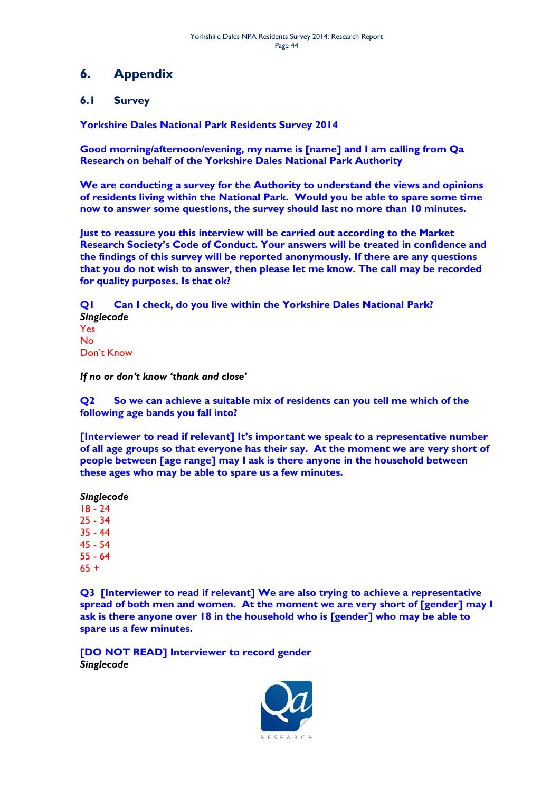## <span id="page-43-0"></span>**6. Appendix**

### <span id="page-43-1"></span>**6.1 Survey**

**Yorkshire Dales National Park Residents Survey 2014**

**Good morning/afternoon/evening, my name is [name] and I am calling from Qa Research on behalf of the Yorkshire Dales National Park Authority**

**We are conducting a survey for the Authority to understand the views and opinions of residents living within the National Park. Would you be able to spare some time now to answer some questions, the survey should last no more than 10 minutes.**

**Just to reassure you this interview will be carried out according to the Market Research Society's Code of Conduct. Your answers will be treated in confidence and the findings of this survey will be reported anonymously. If there are any questions that you do not wish to answer, then please let me know. The call may be recorded for quality purposes. Is that ok?**

**Q1 Can I check, do you live within the Yorkshire Dales National Park?** *Singlecode* Yes No Don't Know

*If no or don't know 'thank and close'*

**Q2 So we can achieve a suitable mix of residents can you tell me which of the following age bands you fall into?**

**[Interviewer to read if relevant] It's important we speak to a representative number of all age groups so that everyone has their say. At the moment we are very short of people between [age range] may I ask is there anyone in the household between these ages who may be able to spare us a few minutes.**

**Q3 [Interviewer to read if relevant] We are also trying to achieve a representative spread of both men and women. At the moment we are very short of [gender] may I ask is there anyone over 18 in the household who is [gender] who may be able to spare us a few minutes.**

**[DO NOT READ] Interviewer to record gender** *Singlecode*

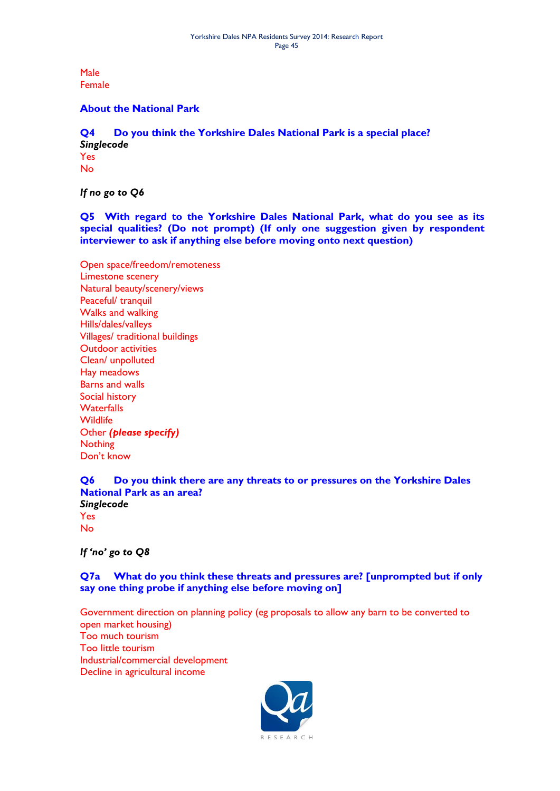Male Female

#### **About the National Park**

**Q4 Do you think the Yorkshire Dales National Park is a special place?** *Singlecode* Yes No

*If no go to Q6*

**Q5 With regard to the Yorkshire Dales National Park, what do you see as its special qualities? (Do not prompt) (If only one suggestion given by respondent interviewer to ask if anything else before moving onto next question)**

Open space/freedom/remoteness Limestone scenery Natural beauty/scenery/views Peaceful/ tranquil Walks and walking Hills/dales/valleys Villages/ traditional buildings Outdoor activities Clean/ unpolluted Hay meadows Barns and walls Social history **Waterfalls Wildlife** Other *(please specify)*  **Nothing** Don't know

**Q6 Do you think there are any threats to or pressures on the Yorkshire Dales National Park as an area?** *Singlecode* Yes No

*If 'no' go to Q8*

**Q7a What do you think these threats and pressures are? [unprompted but if only say one thing probe if anything else before moving on]**

Government direction on planning policy (eg proposals to allow any barn to be converted to open market housing) Too much tourism Too little tourism Industrial/commercial development Decline in agricultural income

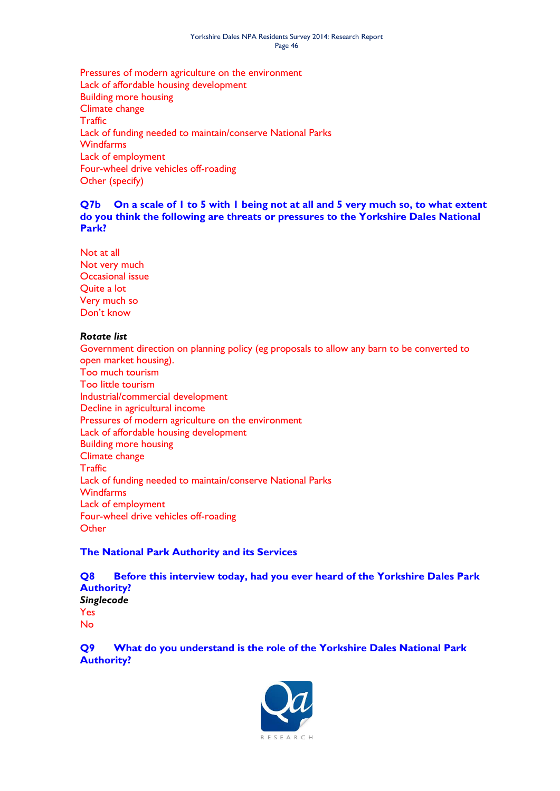#### Yorkshire Dales NPA Residents Survey 2014: Research Report Page 46

Pressures of modern agriculture on the environment Lack of affordable housing development Building more housing Climate change **Traffic** Lack of funding needed to maintain/conserve National Parks **Windfarms** Lack of employment Four-wheel drive vehicles off-roading Other (specify)

#### **Q7b On a scale of 1 to 5 with 1 being not at all and 5 very much so, to what extent do you think the following are threats or pressures to the Yorkshire Dales National Park?**

Not at all Not very much Occasional issue Quite a lot Very much so Don't know

#### *Rotate list*

Government direction on planning policy (eg proposals to allow any barn to be converted to open market housing). Too much tourism Too little tourism Industrial/commercial development Decline in agricultural income Pressures of modern agriculture on the environment Lack of affordable housing development Building more housing Climate change **Traffic** Lack of funding needed to maintain/conserve National Parks **Windfarms** Lack of employment Four-wheel drive vehicles off-roading **Other** 

#### **The National Park Authority and its Services**

**Q8 Before this interview today, had you ever heard of the Yorkshire Dales Park Authority?** *Singlecode* Yes No

**Q9 What do you understand is the role of the Yorkshire Dales National Park Authority?** 

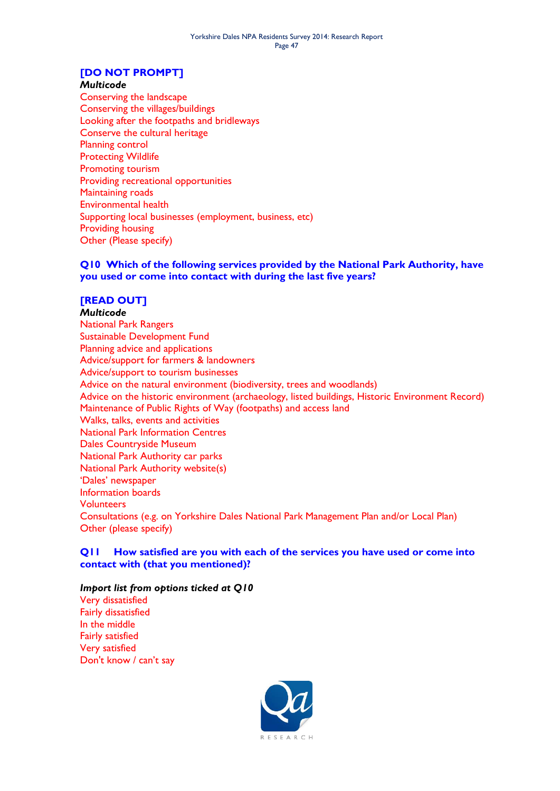### **[DO NOT PROMPT]**

#### *Multicode*

Conserving the landscape Conserving the villages/buildings Looking after the footpaths and bridleways Conserve the cultural heritage Planning control Protecting Wildlife Promoting tourism Providing recreational opportunities Maintaining roads Environmental health Supporting local businesses (employment, business, etc) Providing housing Other (Please specify)

#### **Q10 Which of the following services provided by the National Park Authority, have you used or come into contact with during the last five years?**

#### **[READ OUT]**

*Multicode* National Park Rangers Sustainable Development Fund Planning advice and applications Advice/support for farmers & landowners Advice/support to tourism businesses Advice on the natural environment (biodiversity, trees and woodlands) Advice on the historic environment (archaeology, listed buildings, Historic Environment Record) Maintenance of Public Rights of Way (footpaths) and access land Walks, talks, events and activities National Park Information Centres Dales Countryside Museum National Park Authority car parks National Park Authority website(s) 'Dales' newspaper Information boards Volunteers Consultations (e.g. on Yorkshire Dales National Park Management Plan and/or Local Plan) Other (please specify)

#### **Q11 How satisfied are you with each of the services you have used or come into contact with (that you mentioned)?**

#### *Import list from options ticked at Q10*

Very dissatisfied Fairly dissatisfied In the middle Fairly satisfied Very satisfied Don't know / can't say

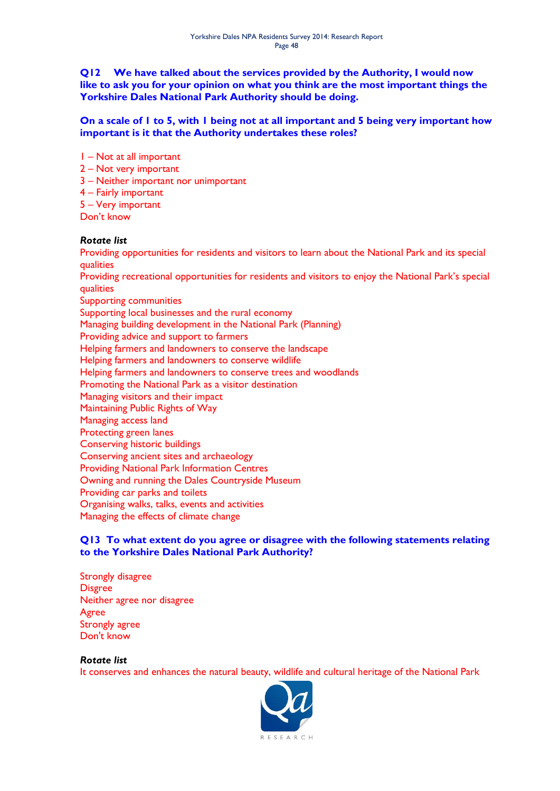#### **Q12 We have talked about the services provided by the Authority, I would now like to ask you for your opinion on what you think are the most important things the Yorkshire Dales National Park Authority should be doing.**

#### **On a scale of 1 to 5, with 1 being not at all important and 5 being very important how important is it that the Authority undertakes these roles?**

- 1 Not at all important
- 2 Not very important
- 3 Neither important nor unimportant
- 4 Fairly important
- 5 Very important
- Don't know

#### *Rotate list*

Providing opportunities for residents and visitors to learn about the National Park and its special qualities

Providing recreational opportunities for residents and visitors to enjoy the National Park's special qualities

Supporting communities

Supporting local businesses and the rural economy

- Managing building development in the National Park (Planning)
- Providing advice and support to farmers

Helping farmers and landowners to conserve the landscape

- Helping farmers and landowners to conserve wildlife
- Helping farmers and landowners to conserve trees and woodlands

Promoting the National Park as a visitor destination

- Managing visitors and their impact
- Maintaining Public Rights of Way
- Managing access land
- Protecting green lanes
- Conserving historic buildings
- Conserving ancient sites and archaeology
- Providing National Park Information Centres
- Owning and running the Dales Countryside Museum
- Providing car parks and toilets
- Organising walks, talks, events and activities
- Managing the effects of climate change

#### **Q13 To what extent do you agree or disagree with the following statements relating to the Yorkshire Dales National Park Authority?**

Strongly disagree **Disgree** Neither agree nor disagree Agree Strongly agree Don't know

#### *Rotate list*

It conserves and enhances the natural beauty, wildlife and cultural heritage of the National Park

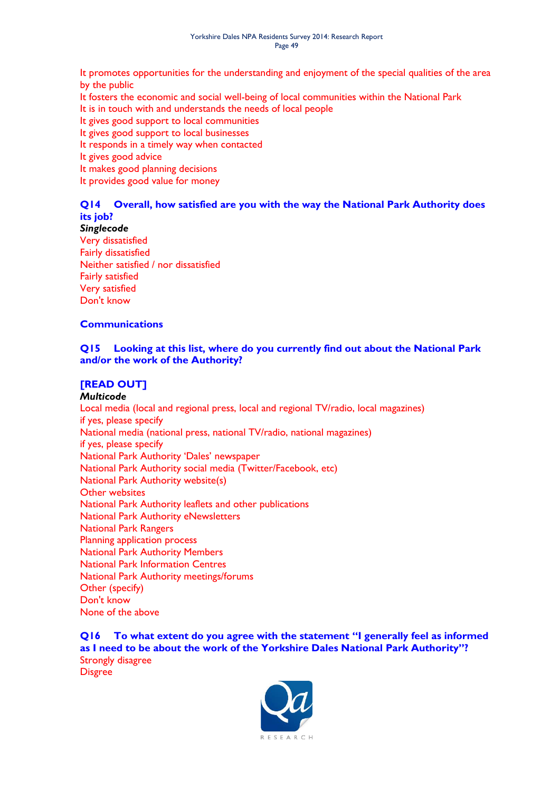It promotes opportunities for the understanding and enjoyment of the special qualities of the area by the public

It fosters the economic and social well-being of local communities within the National Park

It is in touch with and understands the needs of local people

It gives good support to local communities

It gives good support to local businesses

It responds in a timely way when contacted

It gives good advice

It makes good planning decisions

It provides good value for money

### **Q14 Overall, how satisfied are you with the way the National Park Authority does its job?**

#### *Singlecode*

Very dissatisfied Fairly dissatisfied Neither satisfied / nor dissatisfied Fairly satisfied Very satisfied Don't know

#### **Communications**

#### **Q15 Looking at this list, where do you currently find out about the National Park and/or the work of the Authority?**

#### **[READ OUT]**

#### *Multicode*

Local media (local and regional press, local and regional TV/radio, local magazines) if yes, please specify National media (national press, national TV/radio, national magazines) if yes, please specify National Park Authority 'Dales' newspaper National Park Authority social media (Twitter/Facebook, etc) National Park Authority website(s) Other websites National Park Authority leaflets and other publications National Park Authority eNewsletters National Park Rangers Planning application process National Park Authority Members National Park Information Centres National Park Authority meetings/forums Other (specify) Don't know None of the above

**Q16 To what extent do you agree with the statement "I generally feel as informed as I need to be about the work of the Yorkshire Dales National Park Authority"?**  Strongly disagree Disgree

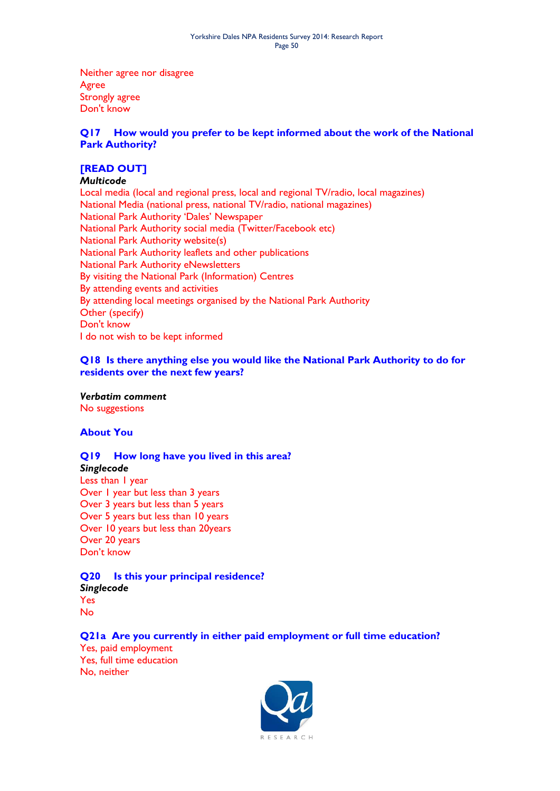Neither agree nor disagree Agree Strongly agree Don't know

#### **Q17 How would you prefer to be kept informed about the work of the National Park Authority?**

### **[READ OUT]**

#### *Multicode*

Local media (local and regional press, local and regional TV/radio, local magazines) National Media (national press, national TV/radio, national magazines) National Park Authority 'Dales' Newspaper National Park Authority social media (Twitter/Facebook etc) National Park Authority website(s) National Park Authority leaflets and other publications National Park Authority eNewsletters By visiting the National Park (Information) Centres By attending events and activities By attending local meetings organised by the National Park Authority Other (specify) Don't know I do not wish to be kept informed

#### **Q18 Is there anything else you would like the National Park Authority to do for residents over the next few years?**

*Verbatim comment* No suggestions

#### **About You**

#### **Q19 How long have you lived in this area?**

*Singlecode* Less than 1 year Over 1 year but less than 3 years Over 3 years but less than 5 years Over 5 years but less than 10 years Over 10 years but less than 20years Over 20 years Don't know

#### **Q20 Is this your principal residence?** *Singlecode* Yes No

#### **Q21a Are you currently in either paid employment or full time education?**

Yes, paid employment Yes, full time education No, neither